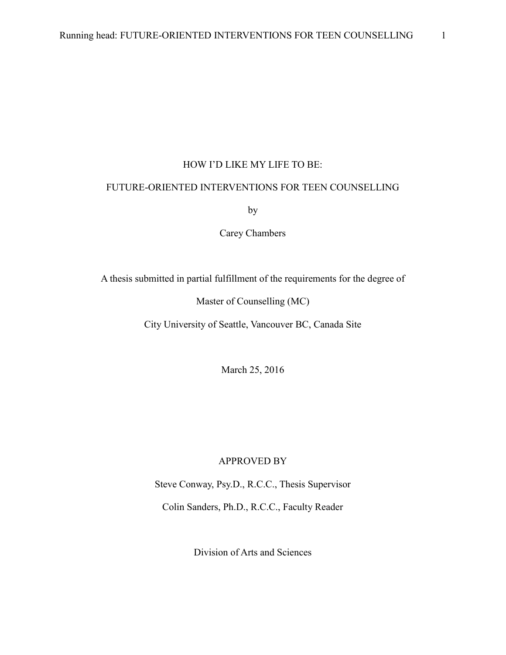# HOW I'D LIKE MY LIFE TO BE:

# FUTURE-ORIENTED INTERVENTIONS FOR TEEN COUNSELLING

by

Carey Chambers

A thesis submitted in partial fulfillment of the requirements for the degree of

Master of Counselling (MC)

City University of Seattle, Vancouver BC, Canada Site

March 25, 2016

# APPROVED BY

Steve Conway, Psy.D., R.C.C., Thesis Supervisor

Colin Sanders, Ph.D., R.C.C., Faculty Reader

Division of Arts and Sciences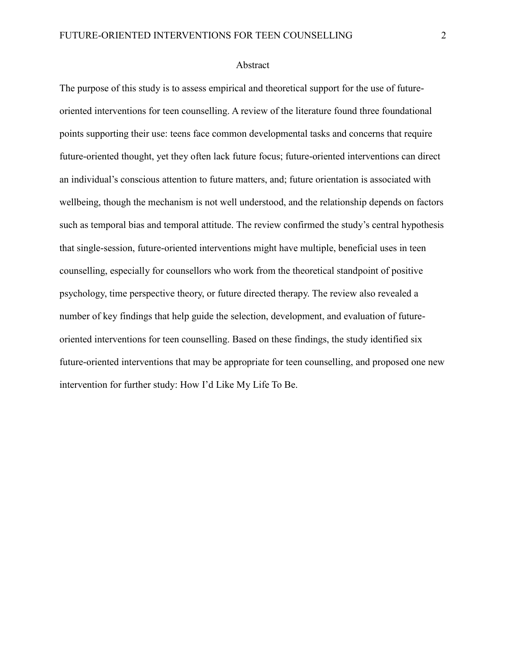#### Abstract

The purpose of this study is to assess empirical and theoretical support for the use of futureoriented interventions for teen counselling. A review of the literature found three foundational points supporting their use: teens face common developmental tasks and concerns that require future-oriented thought, yet they often lack future focus; future-oriented interventions can direct an individual's conscious attention to future matters, and; future orientation is associated with wellbeing, though the mechanism is not well understood, and the relationship depends on factors such as temporal bias and temporal attitude. The review confirmed the study's central hypothesis that single-session, future-oriented interventions might have multiple, beneficial uses in teen counselling, especially for counsellors who work from the theoretical standpoint of positive psychology, time perspective theory, or future directed therapy. The review also revealed a number of key findings that help guide the selection, development, and evaluation of futureoriented interventions for teen counselling. Based on these findings, the study identified six future-oriented interventions that may be appropriate for teen counselling, and proposed one new intervention for further study: How I'd Like My Life To Be.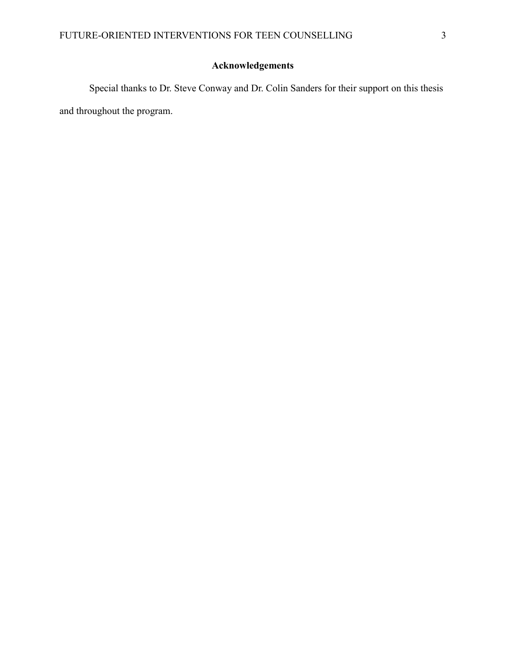# **Acknowledgements**

Special thanks to Dr. Steve Conway and Dr. Colin Sanders for their support on this thesis and throughout the program.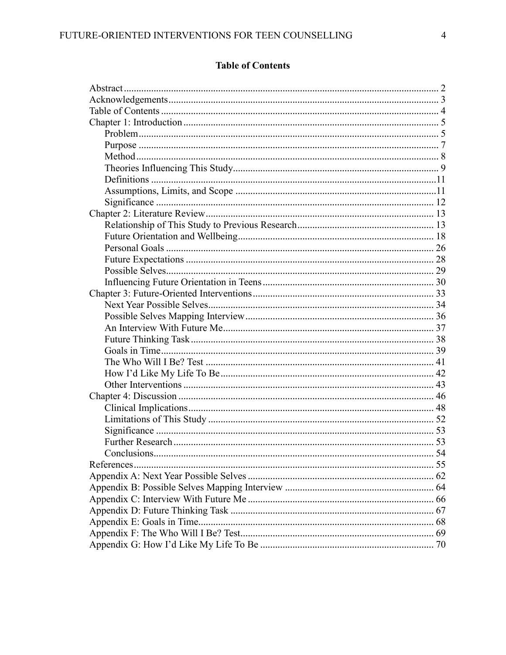# **Table of Contents**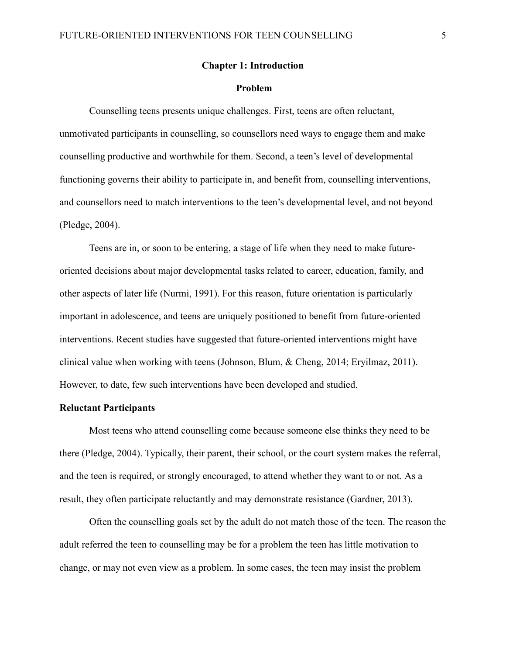# **Chapter 1: Introduction**

# **Problem**

Counselling teens presents unique challenges. First, teens are often reluctant, unmotivated participants in counselling, so counsellors need ways to engage them and make counselling productive and worthwhile for them. Second, a teen's level of developmental functioning governs their ability to participate in, and benefit from, counselling interventions, and counsellors need to match interventions to the teen's developmental level, and not beyond (Pledge, 2004).

Teens are in, or soon to be entering, a stage of life when they need to make futureoriented decisions about major developmental tasks related to career, education, family, and other aspects of later life (Nurmi, 1991). For this reason, future orientation is particularly important in adolescence, and teens are uniquely positioned to benefit from future-oriented interventions. Recent studies have suggested that future-oriented interventions might have clinical value when working with teens (Johnson, Blum, & Cheng, 2014; Eryilmaz, 2011). However, to date, few such interventions have been developed and studied.

# **Reluctant Participants**

Most teens who attend counselling come because someone else thinks they need to be there (Pledge, 2004). Typically, their parent, their school, or the court system makes the referral, and the teen is required, or strongly encouraged, to attend whether they want to or not. As a result, they often participate reluctantly and may demonstrate resistance (Gardner, 2013).

Often the counselling goals set by the adult do not match those of the teen. The reason the adult referred the teen to counselling may be for a problem the teen has little motivation to change, or may not even view as a problem. In some cases, the teen may insist the problem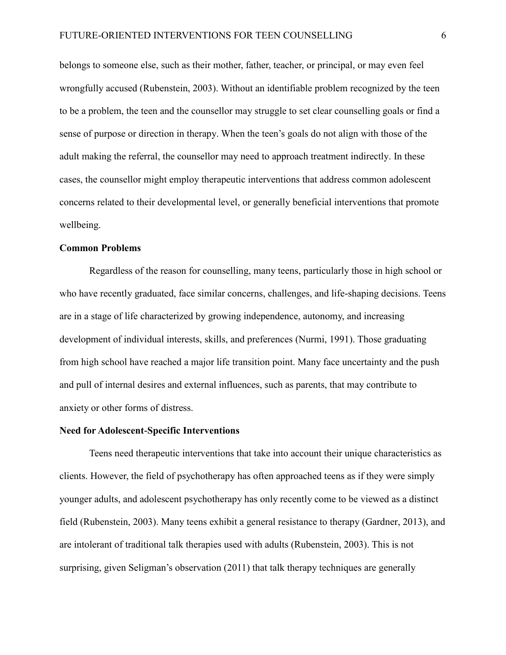belongs to someone else, such as their mother, father, teacher, or principal, or may even feel wrongfully accused (Rubenstein, 2003). Without an identifiable problem recognized by the teen to be a problem, the teen and the counsellor may struggle to set clear counselling goals or find a sense of purpose or direction in therapy. When the teen's goals do not align with those of the adult making the referral, the counsellor may need to approach treatment indirectly. In these cases, the counsellor might employ therapeutic interventions that address common adolescent concerns related to their developmental level, or generally beneficial interventions that promote wellbeing.

# **Common Problems**

Regardless of the reason for counselling, many teens, particularly those in high school or who have recently graduated, face similar concerns, challenges, and life-shaping decisions. Teens are in a stage of life characterized by growing independence, autonomy, and increasing development of individual interests, skills, and preferences (Nurmi, 1991). Those graduating from high school have reached a major life transition point. Many face uncertainty and the push and pull of internal desires and external influences, such as parents, that may contribute to anxiety or other forms of distress.

#### **Need for Adolescent-Specific Interventions**

Teens need therapeutic interventions that take into account their unique characteristics as clients. However, the field of psychotherapy has often approached teens as if they were simply younger adults, and adolescent psychotherapy has only recently come to be viewed as a distinct field (Rubenstein, 2003). Many teens exhibit a general resistance to therapy (Gardner, 2013), and are intolerant of traditional talk therapies used with adults (Rubenstein, 2003). This is not surprising, given Seligman's observation (2011) that talk therapy techniques are generally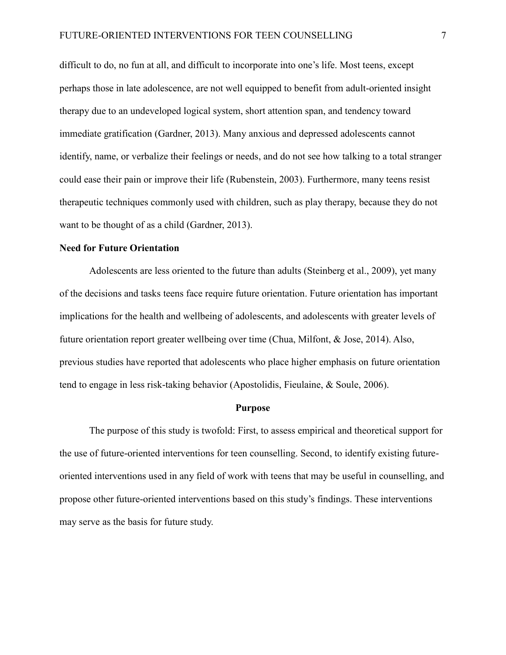difficult to do, no fun at all, and difficult to incorporate into one's life. Most teens, except perhaps those in late adolescence, are not well equipped to benefit from adult-oriented insight therapy due to an undeveloped logical system, short attention span, and tendency toward immediate gratification (Gardner, 2013). Many anxious and depressed adolescents cannot identify, name, or verbalize their feelings or needs, and do not see how talking to a total stranger could ease their pain or improve their life (Rubenstein, 2003). Furthermore, many teens resist therapeutic techniques commonly used with children, such as play therapy, because they do not want to be thought of as a child (Gardner, 2013).

### **Need for Future Orientation**

Adolescents are less oriented to the future than adults (Steinberg et al., 2009), yet many of the decisions and tasks teens face require future orientation. Future orientation has important implications for the health and wellbeing of adolescents, and adolescents with greater levels of future orientation report greater wellbeing over time (Chua, Milfont, & Jose, 2014). Also, previous studies have reported that adolescents who place higher emphasis on future orientation tend to engage in less risk-taking behavior (Apostolidis, Fieulaine, & Soule, 2006).

#### **Purpose**

The purpose of this study is twofold: First, to assess empirical and theoretical support for the use of future-oriented interventions for teen counselling. Second, to identify existing futureoriented interventions used in any field of work with teens that may be useful in counselling, and propose other future-oriented interventions based on this study's findings. These interventions may serve as the basis for future study.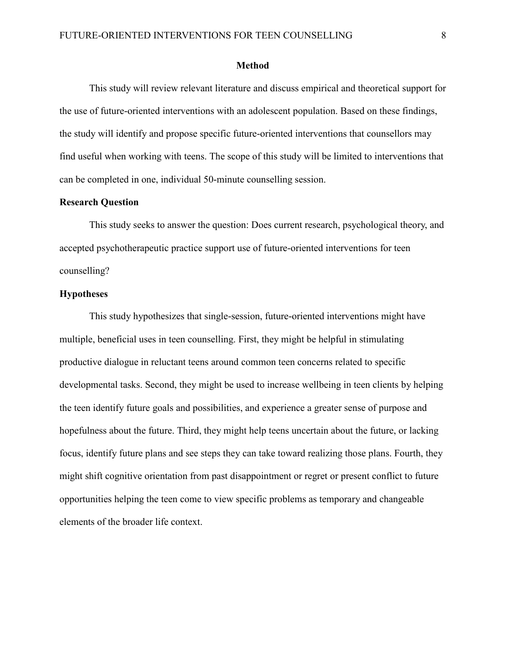#### **Method**

This study will review relevant literature and discuss empirical and theoretical support for the use of future-oriented interventions with an adolescent population. Based on these findings, the study will identify and propose specific future-oriented interventions that counsellors may find useful when working with teens. The scope of this study will be limited to interventions that can be completed in one, individual 50-minute counselling session.

# **Research Question**

This study seeks to answer the question: Does current research, psychological theory, and accepted psychotherapeutic practice support use of future-oriented interventions for teen counselling?

### **Hypotheses**

This study hypothesizes that single-session, future-oriented interventions might have multiple, beneficial uses in teen counselling. First, they might be helpful in stimulating productive dialogue in reluctant teens around common teen concerns related to specific developmental tasks. Second, they might be used to increase wellbeing in teen clients by helping the teen identify future goals and possibilities, and experience a greater sense of purpose and hopefulness about the future. Third, they might help teens uncertain about the future, or lacking focus, identify future plans and see steps they can take toward realizing those plans. Fourth, they might shift cognitive orientation from past disappointment or regret or present conflict to future opportunities helping the teen come to view specific problems as temporary and changeable elements of the broader life context.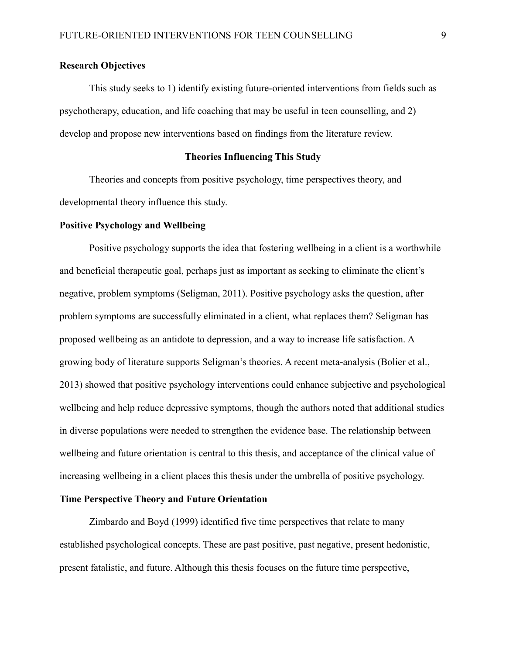# **Research Objectives**

This study seeks to 1) identify existing future-oriented interventions from fields such as psychotherapy, education, and life coaching that may be useful in teen counselling, and 2) develop and propose new interventions based on findings from the literature review.

# **Theories Influencing This Study**

Theories and concepts from positive psychology, time perspectives theory, and developmental theory influence this study.

#### **Positive Psychology and Wellbeing**

Positive psychology supports the idea that fostering wellbeing in a client is a worthwhile and beneficial therapeutic goal, perhaps just as important as seeking to eliminate the client's negative, problem symptoms (Seligman, 2011). Positive psychology asks the question, after problem symptoms are successfully eliminated in a client, what replaces them? Seligman has proposed wellbeing as an antidote to depression, and a way to increase life satisfaction. A growing body of literature supports Seligman's theories. A recent meta-analysis (Bolier et al., 2013) showed that positive psychology interventions could enhance subjective and psychological wellbeing and help reduce depressive symptoms, though the authors noted that additional studies in diverse populations were needed to strengthen the evidence base. The relationship between wellbeing and future orientation is central to this thesis, and acceptance of the clinical value of increasing wellbeing in a client places this thesis under the umbrella of positive psychology.

# **Time Perspective Theory and Future Orientation**

Zimbardo and Boyd (1999) identified five time perspectives that relate to many established psychological concepts. These are past positive, past negative, present hedonistic, present fatalistic, and future. Although this thesis focuses on the future time perspective,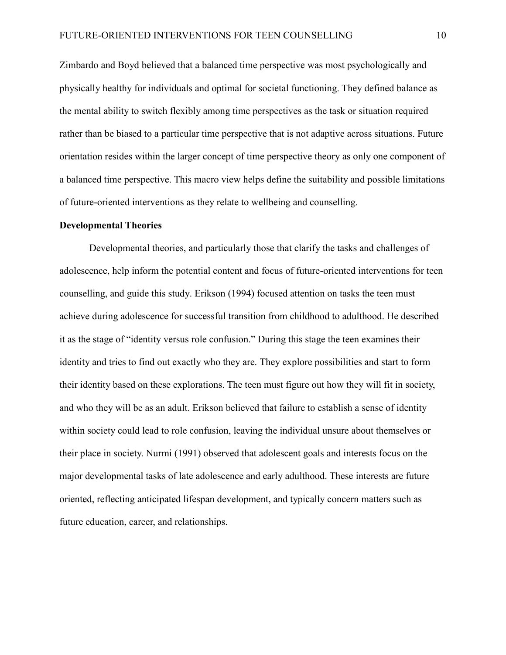Zimbardo and Boyd believed that a balanced time perspective was most psychologically and physically healthy for individuals and optimal for societal functioning. They defined balance as the mental ability to switch flexibly among time perspectives as the task or situation required rather than be biased to a particular time perspective that is not adaptive across situations. Future orientation resides within the larger concept of time perspective theory as only one component of a balanced time perspective. This macro view helps define the suitability and possible limitations of future-oriented interventions as they relate to wellbeing and counselling.

#### **Developmental Theories**

Developmental theories, and particularly those that clarify the tasks and challenges of adolescence, help inform the potential content and focus of future-oriented interventions for teen counselling, and guide this study. Erikson (1994) focused attention on tasks the teen must achieve during adolescence for successful transition from childhood to adulthood. He described it as the stage of "identity versus role confusion." During this stage the teen examines their identity and tries to find out exactly who they are. They explore possibilities and start to form their identity based on these explorations. The teen must figure out how they will fit in society, and who they will be as an adult. Erikson believed that failure to establish a sense of identity within society could lead to role confusion, leaving the individual unsure about themselves or their place in society. Nurmi (1991) observed that adolescent goals and interests focus on the major developmental tasks of late adolescence and early adulthood. These interests are future oriented, reflecting anticipated lifespan development, and typically concern matters such as future education, career, and relationships.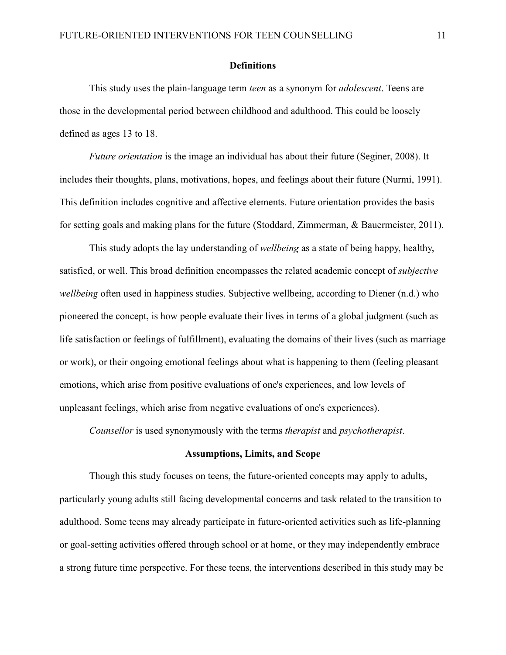#### **Definitions**

This study uses the plain-language term *teen* as a synonym for *adolescent*. Teens are those in the developmental period between childhood and adulthood. This could be loosely defined as ages 13 to 18.

*Future orientation* is the image an individual has about their future (Seginer, 2008). It includes their thoughts, plans, motivations, hopes, and feelings about their future (Nurmi, 1991). This definition includes cognitive and affective elements. Future orientation provides the basis for setting goals and making plans for the future (Stoddard, Zimmerman, & Bauermeister, 2011).

This study adopts the lay understanding of *wellbeing* as a state of being happy, healthy, satisfied, or well. This broad definition encompasses the related academic concept of *subjective wellbeing* often used in happiness studies. Subjective wellbeing, according to Diener (n.d.) who pioneered the concept, is how people evaluate their lives in terms of a global judgment (such as life satisfaction or feelings of fulfillment), evaluating the domains of their lives (such as marriage or work), or their ongoing emotional feelings about what is happening to them (feeling pleasant emotions, which arise from positive evaluations of one's experiences, and low levels of unpleasant feelings, which arise from negative evaluations of one's experiences).

*Counsellor* is used synonymously with the terms *therapist* and *psychotherapist*.

### **Assumptions, Limits, and Scope**

Though this study focuses on teens, the future-oriented concepts may apply to adults, particularly young adults still facing developmental concerns and task related to the transition to adulthood. Some teens may already participate in future-oriented activities such as life-planning or goal-setting activities offered through school or at home, or they may independently embrace a strong future time perspective. For these teens, the interventions described in this study may be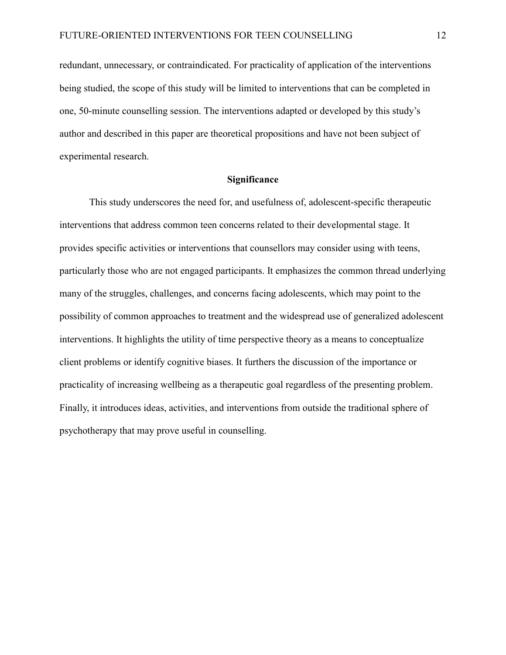redundant, unnecessary, or contraindicated. For practicality of application of the interventions being studied, the scope of this study will be limited to interventions that can be completed in one, 50-minute counselling session. The interventions adapted or developed by this study's author and described in this paper are theoretical propositions and have not been subject of experimental research.

# **Significance**

This study underscores the need for, and usefulness of, adolescent-specific therapeutic interventions that address common teen concerns related to their developmental stage. It provides specific activities or interventions that counsellors may consider using with teens, particularly those who are not engaged participants. It emphasizes the common thread underlying many of the struggles, challenges, and concerns facing adolescents, which may point to the possibility of common approaches to treatment and the widespread use of generalized adolescent interventions. It highlights the utility of time perspective theory as a means to conceptualize client problems or identify cognitive biases. It furthers the discussion of the importance or practicality of increasing wellbeing as a therapeutic goal regardless of the presenting problem. Finally, it introduces ideas, activities, and interventions from outside the traditional sphere of psychotherapy that may prove useful in counselling.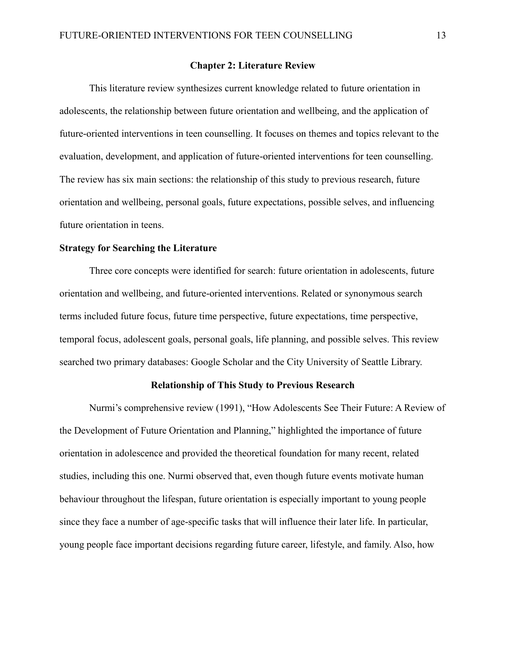### **Chapter 2: Literature Review**

This literature review synthesizes current knowledge related to future orientation in adolescents, the relationship between future orientation and wellbeing, and the application of future-oriented interventions in teen counselling. It focuses on themes and topics relevant to the evaluation, development, and application of future-oriented interventions for teen counselling. The review has six main sections: the relationship of this study to previous research, future orientation and wellbeing, personal goals, future expectations, possible selves, and influencing future orientation in teens.

# **Strategy for Searching the Literature**

Three core concepts were identified for search: future orientation in adolescents, future orientation and wellbeing, and future-oriented interventions. Related or synonymous search terms included future focus, future time perspective, future expectations, time perspective, temporal focus, adolescent goals, personal goals, life planning, and possible selves. This review searched two primary databases: Google Scholar and the City University of Seattle Library.

### **Relationship of This Study to Previous Research**

Nurmi's comprehensive review (1991), "How Adolescents See Their Future: A Review of the Development of Future Orientation and Planning," highlighted the importance of future orientation in adolescence and provided the theoretical foundation for many recent, related studies, including this one. Nurmi observed that, even though future events motivate human behaviour throughout the lifespan, future orientation is especially important to young people since they face a number of age-specific tasks that will influence their later life. In particular, young people face important decisions regarding future career, lifestyle, and family. Also, how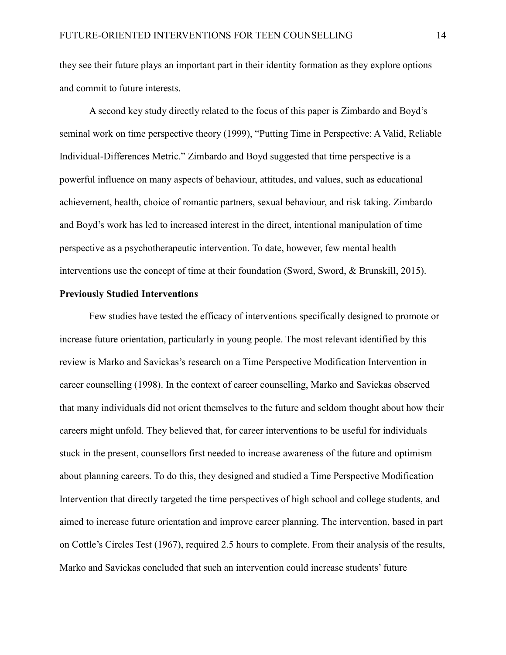they see their future plays an important part in their identity formation as they explore options and commit to future interests.

A second key study directly related to the focus of this paper is Zimbardo and Boyd's seminal work on time perspective theory (1999), "Putting Time in Perspective: A Valid, Reliable Individual-Differences Metric." Zimbardo and Boyd suggested that time perspective is a powerful influence on many aspects of behaviour, attitudes, and values, such as educational achievement, health, choice of romantic partners, sexual behaviour, and risk taking. Zimbardo and Boyd's work has led to increased interest in the direct, intentional manipulation of time perspective as a psychotherapeutic intervention. To date, however, few mental health interventions use the concept of time at their foundation (Sword, Sword, & Brunskill, 2015).

### **Previously Studied Interventions**

Few studies have tested the efficacy of interventions specifically designed to promote or increase future orientation, particularly in young people. The most relevant identified by this review is Marko and Savickas's research on a Time Perspective Modification Intervention in career counselling (1998). In the context of career counselling, Marko and Savickas observed that many individuals did not orient themselves to the future and seldom thought about how their careers might unfold. They believed that, for career interventions to be useful for individuals stuck in the present, counsellors first needed to increase awareness of the future and optimism about planning careers. To do this, they designed and studied a Time Perspective Modification Intervention that directly targeted the time perspectives of high school and college students, and aimed to increase future orientation and improve career planning. The intervention, based in part on Cottle's Circles Test (1967), required 2.5 hours to complete. From their analysis of the results, Marko and Savickas concluded that such an intervention could increase students' future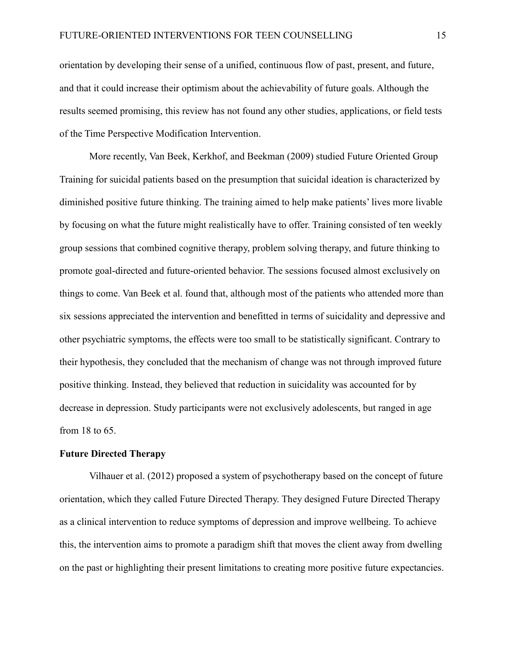orientation by developing their sense of a unified, continuous flow of past, present, and future, and that it could increase their optimism about the achievability of future goals. Although the results seemed promising, this review has not found any other studies, applications, or field tests of the Time Perspective Modification Intervention.

More recently, Van Beek, Kerkhof, and Beekman (2009) studied Future Oriented Group Training for suicidal patients based on the presumption that suicidal ideation is characterized by diminished positive future thinking. The training aimed to help make patients' lives more livable by focusing on what the future might realistically have to offer. Training consisted of ten weekly group sessions that combined cognitive therapy, problem solving therapy, and future thinking to promote goal-directed and future-oriented behavior. The sessions focused almost exclusively on things to come. Van Beek et al. found that, although most of the patients who attended more than six sessions appreciated the intervention and benefitted in terms of suicidality and depressive and other psychiatric symptoms, the effects were too small to be statistically significant. Contrary to their hypothesis, they concluded that the mechanism of change was not through improved future positive thinking. Instead, they believed that reduction in suicidality was accounted for by decrease in depression. Study participants were not exclusively adolescents, but ranged in age from 18 to 65.

### **Future Directed Therapy**

Vilhauer et al. (2012) proposed a system of psychotherapy based on the concept of future orientation, which they called Future Directed Therapy. They designed Future Directed Therapy as a clinical intervention to reduce symptoms of depression and improve wellbeing. To achieve this, the intervention aims to promote a paradigm shift that moves the client away from dwelling on the past or highlighting their present limitations to creating more positive future expectancies.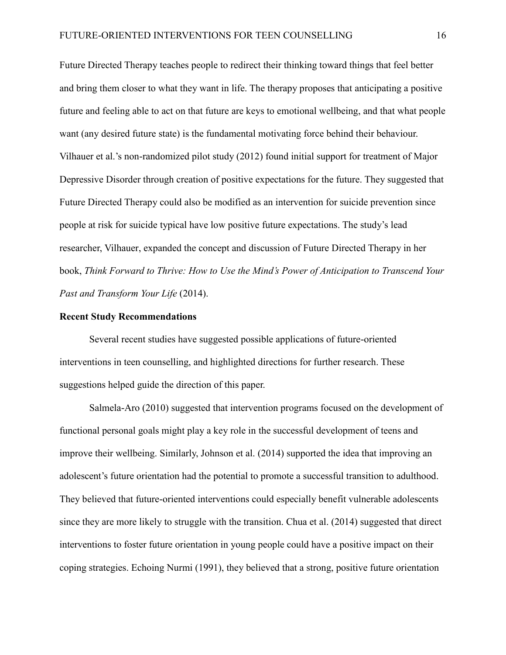Future Directed Therapy teaches people to redirect their thinking toward things that feel better and bring them closer to what they want in life. The therapy proposes that anticipating a positive future and feeling able to act on that future are keys to emotional wellbeing, and that what people want (any desired future state) is the fundamental motivating force behind their behaviour. Vilhauer et al.'s non-randomized pilot study (2012) found initial support for treatment of Major Depressive Disorder through creation of positive expectations for the future. They suggested that Future Directed Therapy could also be modified as an intervention for suicide prevention since people at risk for suicide typical have low positive future expectations. The study's lead researcher, Vilhauer, expanded the concept and discussion of Future Directed Therapy in her book, *Think Forward to Thrive: How to Use the Mind's Power of Anticipation to Transcend Your Past and Transform Your Life* (2014).

#### **Recent Study Recommendations**

Several recent studies have suggested possible applications of future-oriented interventions in teen counselling, and highlighted directions for further research. These suggestions helped guide the direction of this paper.

Salmela-Aro (2010) suggested that intervention programs focused on the development of functional personal goals might play a key role in the successful development of teens and improve their wellbeing. Similarly, Johnson et al. (2014) supported the idea that improving an adolescent's future orientation had the potential to promote a successful transition to adulthood. They believed that future-oriented interventions could especially benefit vulnerable adolescents since they are more likely to struggle with the transition. Chua et al. (2014) suggested that direct interventions to foster future orientation in young people could have a positive impact on their coping strategies. Echoing Nurmi (1991), they believed that a strong, positive future orientation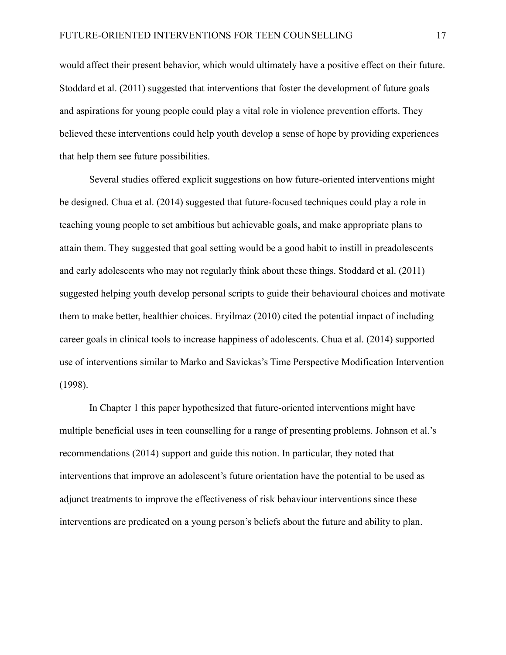would affect their present behavior, which would ultimately have a positive effect on their future. Stoddard et al. (2011) suggested that interventions that foster the development of future goals and aspirations for young people could play a vital role in violence prevention efforts. They believed these interventions could help youth develop a sense of hope by providing experiences that help them see future possibilities.

Several studies offered explicit suggestions on how future-oriented interventions might be designed. Chua et al. (2014) suggested that future-focused techniques could play a role in teaching young people to set ambitious but achievable goals, and make appropriate plans to attain them. They suggested that goal setting would be a good habit to instill in preadolescents and early adolescents who may not regularly think about these things. Stoddard et al. (2011) suggested helping youth develop personal scripts to guide their behavioural choices and motivate them to make better, healthier choices. Eryilmaz (2010) cited the potential impact of including career goals in clinical tools to increase happiness of adolescents. Chua et al. (2014) supported use of interventions similar to Marko and Savickas's Time Perspective Modification Intervention (1998).

In Chapter 1 this paper hypothesized that future-oriented interventions might have multiple beneficial uses in teen counselling for a range of presenting problems. Johnson et al.'s recommendations (2014) support and guide this notion. In particular, they noted that interventions that improve an adolescent's future orientation have the potential to be used as adjunct treatments to improve the effectiveness of risk behaviour interventions since these interventions are predicated on a young person's beliefs about the future and ability to plan.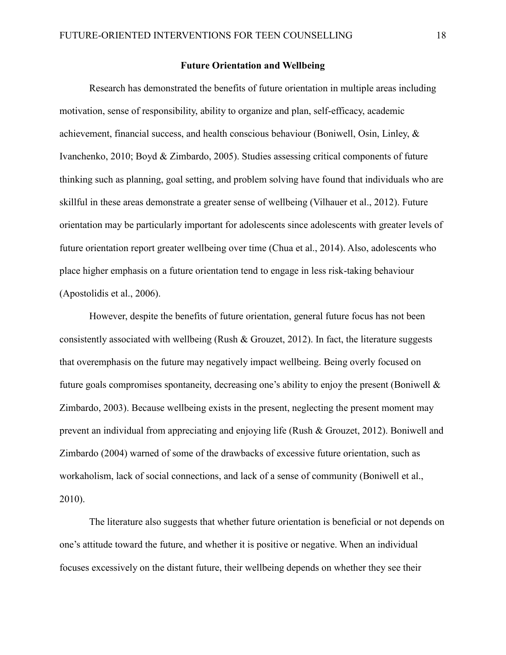### **Future Orientation and Wellbeing**

Research has demonstrated the benefits of future orientation in multiple areas including motivation, sense of responsibility, ability to organize and plan, self-efficacy, academic achievement, financial success, and health conscious behaviour (Boniwell, Osin, Linley, & Ivanchenko, 2010; Boyd & Zimbardo, 2005). Studies assessing critical components of future thinking such as planning, goal setting, and problem solving have found that individuals who are skillful in these areas demonstrate a greater sense of wellbeing (Vilhauer et al., 2012). Future orientation may be particularly important for adolescents since adolescents with greater levels of future orientation report greater wellbeing over time (Chua et al., 2014). Also, adolescents who place higher emphasis on a future orientation tend to engage in less risk-taking behaviour (Apostolidis et al., 2006).

However, despite the benefits of future orientation, general future focus has not been consistently associated with wellbeing (Rush & Grouzet, 2012). In fact, the literature suggests that overemphasis on the future may negatively impact wellbeing. Being overly focused on future goals compromises spontaneity, decreasing one's ability to enjoy the present (Boniwell & Zimbardo, 2003). Because wellbeing exists in the present, neglecting the present moment may prevent an individual from appreciating and enjoying life (Rush & Grouzet, 2012). Boniwell and Zimbardo (2004) warned of some of the drawbacks of excessive future orientation, such as workaholism, lack of social connections, and lack of a sense of community (Boniwell et al., 2010).

The literature also suggests that whether future orientation is beneficial or not depends on one's attitude toward the future, and whether it is positive or negative. When an individual focuses excessively on the distant future, their wellbeing depends on whether they see their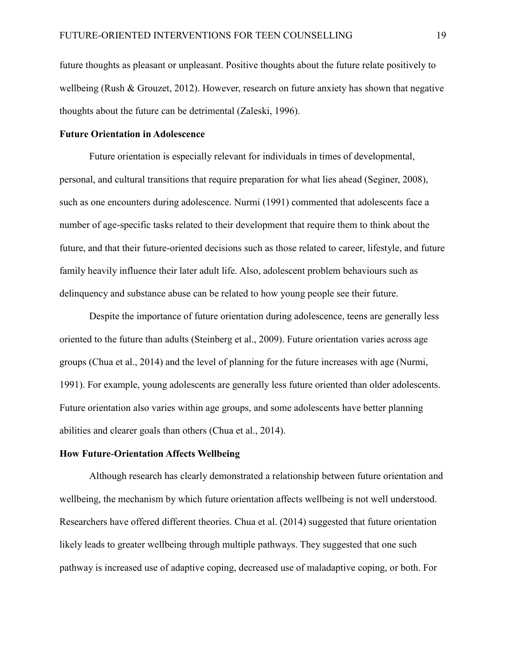future thoughts as pleasant or unpleasant. Positive thoughts about the future relate positively to wellbeing (Rush & Grouzet, 2012). However, research on future anxiety has shown that negative thoughts about the future can be detrimental (Zaleski, 1996).

# **Future Orientation in Adolescence**

Future orientation is especially relevant for individuals in times of developmental, personal, and cultural transitions that require preparation for what lies ahead (Seginer, 2008), such as one encounters during adolescence. Nurmi (1991) commented that adolescents face a number of age-specific tasks related to their development that require them to think about the future, and that their future-oriented decisions such as those related to career, lifestyle, and future family heavily influence their later adult life. Also, adolescent problem behaviours such as delinquency and substance abuse can be related to how young people see their future.

Despite the importance of future orientation during adolescence, teens are generally less oriented to the future than adults (Steinberg et al., 2009). Future orientation varies across age groups (Chua et al., 2014) and the level of planning for the future increases with age (Nurmi, 1991). For example, young adolescents are generally less future oriented than older adolescents. Future orientation also varies within age groups, and some adolescents have better planning abilities and clearer goals than others (Chua et al., 2014).

#### **How Future-Orientation Affects Wellbeing**

Although research has clearly demonstrated a relationship between future orientation and wellbeing, the mechanism by which future orientation affects wellbeing is not well understood. Researchers have offered different theories. Chua et al. (2014) suggested that future orientation likely leads to greater wellbeing through multiple pathways. They suggested that one such pathway is increased use of adaptive coping, decreased use of maladaptive coping, or both. For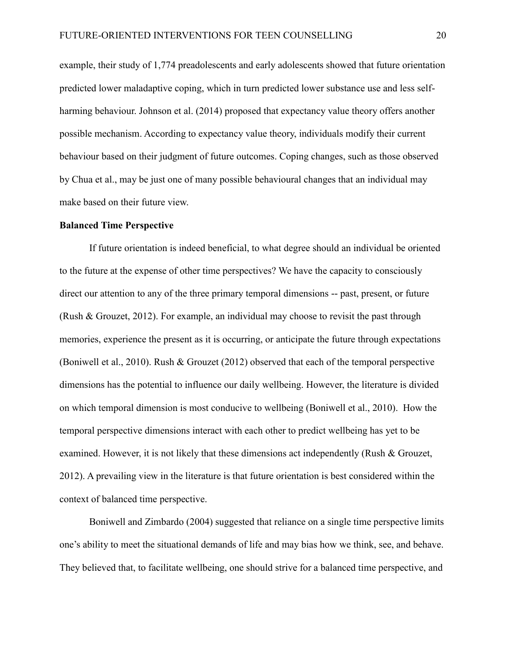example, their study of 1,774 preadolescents and early adolescents showed that future orientation predicted lower maladaptive coping, which in turn predicted lower substance use and less selfharming behaviour. Johnson et al. (2014) proposed that expectancy value theory offers another possible mechanism. According to expectancy value theory, individuals modify their current behaviour based on their judgment of future outcomes. Coping changes, such as those observed by Chua et al., may be just one of many possible behavioural changes that an individual may make based on their future view.

#### **Balanced Time Perspective**

If future orientation is indeed beneficial, to what degree should an individual be oriented to the future at the expense of other time perspectives? We have the capacity to consciously direct our attention to any of the three primary temporal dimensions -- past, present, or future (Rush & Grouzet, 2012). For example, an individual may choose to revisit the past through memories, experience the present as it is occurring, or anticipate the future through expectations (Boniwell et al., 2010). Rush & Grouzet (2012) observed that each of the temporal perspective dimensions has the potential to influence our daily wellbeing. However, the literature is divided on which temporal dimension is most conducive to wellbeing (Boniwell et al., 2010). How the temporal perspective dimensions interact with each other to predict wellbeing has yet to be examined. However, it is not likely that these dimensions act independently (Rush & Grouzet, 2012). A prevailing view in the literature is that future orientation is best considered within the context of balanced time perspective.

Boniwell and Zimbardo (2004) suggested that reliance on a single time perspective limits one's ability to meet the situational demands of life and may bias how we think, see, and behave. They believed that, to facilitate wellbeing, one should strive for a balanced time perspective, and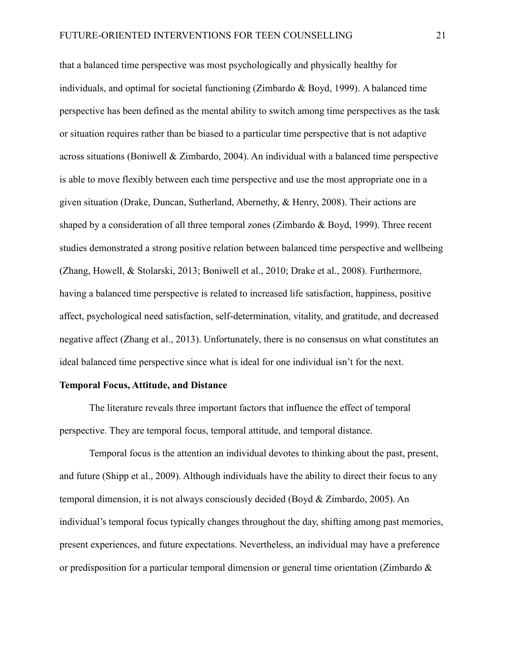that a balanced time perspective was most psychologically and physically healthy for individuals, and optimal for societal functioning (Zimbardo & Boyd, 1999). A balanced time perspective has been defined as the mental ability to switch among time perspectives as the task or situation requires rather than be biased to a particular time perspective that is not adaptive across situations (Boniwell & Zimbardo, 2004). An individual with a balanced time perspective is able to move flexibly between each time perspective and use the most appropriate one in a given situation (Drake, Duncan, Sutherland, Abernethy, & Henry, 2008). Their actions are shaped by a consideration of all three temporal zones (Zimbardo & Boyd, 1999). Three recent studies demonstrated a strong positive relation between balanced time perspective and wellbeing (Zhang, Howell, & Stolarski, 2013; Boniwell et al., 2010; Drake et al., 2008). Furthermore, having a balanced time perspective is related to increased life satisfaction, happiness, positive affect, psychological need satisfaction, self-determination, vitality, and gratitude, and decreased negative affect (Zhang et al., 2013). Unfortunately, there is no consensus on what constitutes an ideal balanced time perspective since what is ideal for one individual isn't for the next.

#### **Temporal Focus, Attitude, and Distance**

The literature reveals three important factors that influence the effect of temporal perspective. They are temporal focus, temporal attitude, and temporal distance.

Temporal focus is the attention an individual devotes to thinking about the past, present, and future (Shipp et al., 2009). Although individuals have the ability to direct their focus to any temporal dimension, it is not always consciously decided (Boyd & Zimbardo, 2005). An individual's temporal focus typically changes throughout the day, shifting among past memories, present experiences, and future expectations. Nevertheless, an individual may have a preference or predisposition for a particular temporal dimension or general time orientation (Zimbardo &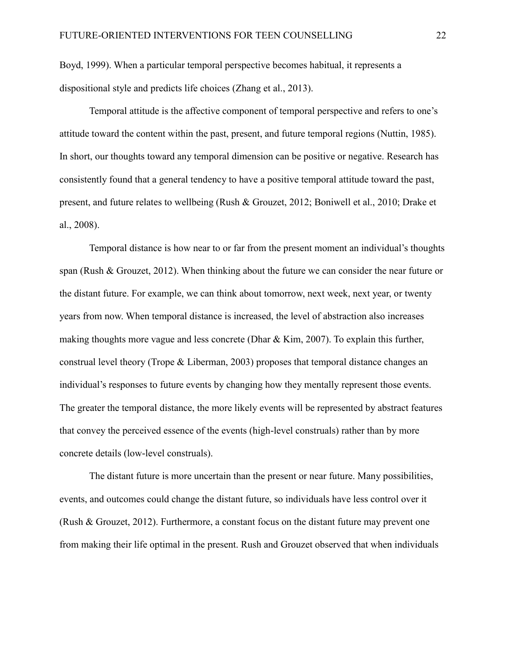Boyd, 1999). When a particular temporal perspective becomes habitual, it represents a dispositional style and predicts life choices (Zhang et al., 2013).

Temporal attitude is the affective component of temporal perspective and refers to one's attitude toward the content within the past, present, and future temporal regions (Nuttin, 1985). In short, our thoughts toward any temporal dimension can be positive or negative. Research has consistently found that a general tendency to have a positive temporal attitude toward the past, present, and future relates to wellbeing (Rush & Grouzet, 2012; Boniwell et al., 2010; Drake et al., 2008).

Temporal distance is how near to or far from the present moment an individual's thoughts span (Rush & Grouzet, 2012). When thinking about the future we can consider the near future or the distant future. For example, we can think about tomorrow, next week, next year, or twenty years from now. When temporal distance is increased, the level of abstraction also increases making thoughts more vague and less concrete (Dhar & Kim, 2007). To explain this further, construal level theory (Trope & Liberman, 2003) proposes that temporal distance changes an individual's responses to future events by changing how they mentally represent those events. The greater the temporal distance, the more likely events will be represented by abstract features that convey the perceived essence of the events (high-level construals) rather than by more concrete details (low-level construals).

The distant future is more uncertain than the present or near future. Many possibilities, events, and outcomes could change the distant future, so individuals have less control over it (Rush & Grouzet, 2012). Furthermore, a constant focus on the distant future may prevent one from making their life optimal in the present. Rush and Grouzet observed that when individuals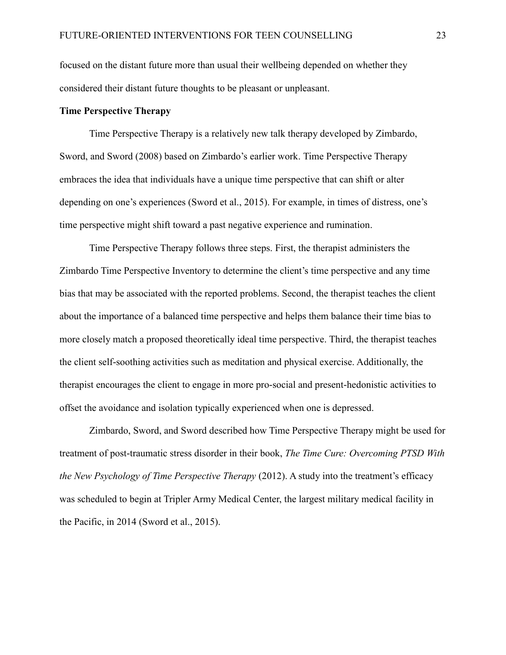focused on the distant future more than usual their wellbeing depended on whether they considered their distant future thoughts to be pleasant or unpleasant.

# **Time Perspective Therapy**

Time Perspective Therapy is a relatively new talk therapy developed by Zimbardo, Sword, and Sword (2008) based on Zimbardo's earlier work. Time Perspective Therapy embraces the idea that individuals have a unique time perspective that can shift or alter depending on one's experiences (Sword et al., 2015). For example, in times of distress, one's time perspective might shift toward a past negative experience and rumination.

Time Perspective Therapy follows three steps. First, the therapist administers the Zimbardo Time Perspective Inventory to determine the client's time perspective and any time bias that may be associated with the reported problems. Second, the therapist teaches the client about the importance of a balanced time perspective and helps them balance their time bias to more closely match a proposed theoretically ideal time perspective. Third, the therapist teaches the client self-soothing activities such as meditation and physical exercise. Additionally, the therapist encourages the client to engage in more pro-social and present-hedonistic activities to offset the avoidance and isolation typically experienced when one is depressed.

Zimbardo, Sword, and Sword described how Time Perspective Therapy might be used for treatment of post-traumatic stress disorder in their book, *The Time Cure: Overcoming PTSD With the New Psychology of Time Perspective Therapy* (2012). A study into the treatment's efficacy was scheduled to begin at Tripler Army Medical Center, the largest military medical facility in the Pacific, in 2014 (Sword et al., 2015).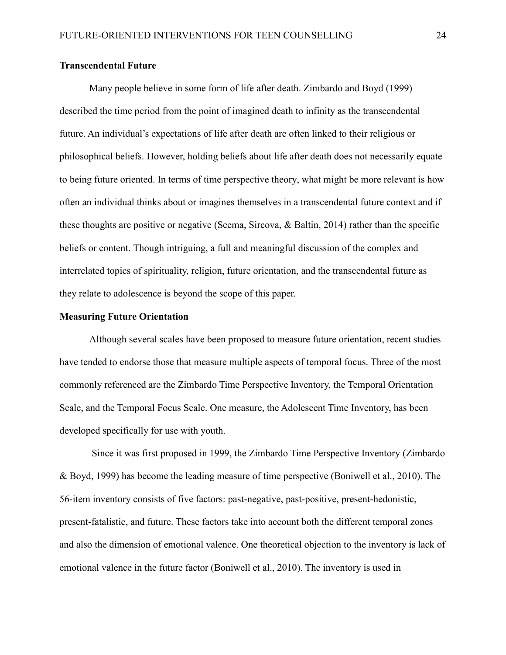# **Transcendental Future**

Many people believe in some form of life after death. Zimbardo and Boyd (1999) described the time period from the point of imagined death to infinity as the transcendental future. An individual's expectations of life after death are often linked to their religious or philosophical beliefs. However, holding beliefs about life after death does not necessarily equate to being future oriented. In terms of time perspective theory, what might be more relevant is how often an individual thinks about or imagines themselves in a transcendental future context and if these thoughts are positive or negative (Seema, Sircova, & Baltin, 2014) rather than the specific beliefs or content. Though intriguing, a full and meaningful discussion of the complex and interrelated topics of spirituality, religion, future orientation, and the transcendental future as they relate to adolescence is beyond the scope of this paper.

### **Measuring Future Orientation**

Although several scales have been proposed to measure future orientation, recent studies have tended to endorse those that measure multiple aspects of temporal focus. Three of the most commonly referenced are the Zimbardo Time Perspective Inventory, the Temporal Orientation Scale, and the Temporal Focus Scale. One measure, the Adolescent Time Inventory, has been developed specifically for use with youth.

Since it was first proposed in 1999, the Zimbardo Time Perspective Inventory (Zimbardo & Boyd, 1999) has become the leading measure of time perspective (Boniwell et al., 2010). The 56-item inventory consists of five factors: past-negative, past-positive, present-hedonistic, present-fatalistic, and future. These factors take into account both the different temporal zones and also the dimension of emotional valence. One theoretical objection to the inventory is lack of emotional valence in the future factor (Boniwell et al., 2010). The inventory is used in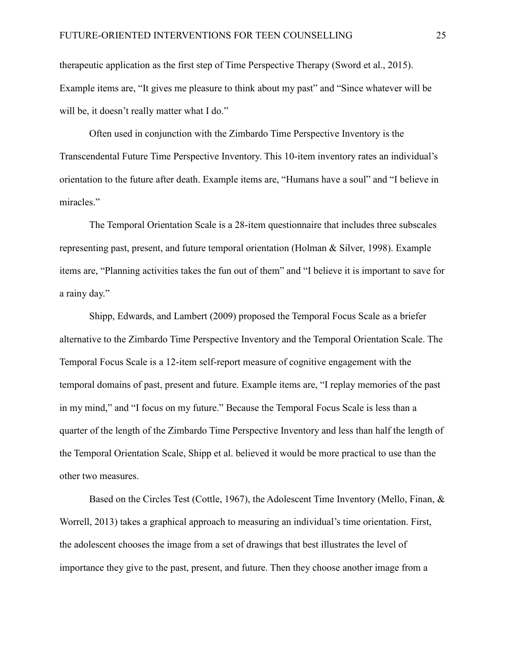therapeutic application as the first step of Time Perspective Therapy (Sword et al., 2015). Example items are, "It gives me pleasure to think about my past" and "Since whatever will be will be, it doesn't really matter what I do."

Often used in conjunction with the Zimbardo Time Perspective Inventory is the Transcendental Future Time Perspective Inventory. This 10-item inventory rates an individual's orientation to the future after death. Example items are, "Humans have a soul" and "I believe in miracles."

The Temporal Orientation Scale is a 28-item questionnaire that includes three subscales representing past, present, and future temporal orientation (Holman & Silver, 1998). Example items are, "Planning activities takes the fun out of them" and "I believe it is important to save for a rainy day."

Shipp, Edwards, and Lambert (2009) proposed the Temporal Focus Scale as a briefer alternative to the Zimbardo Time Perspective Inventory and the Temporal Orientation Scale. The Temporal Focus Scale is a 12-item self-report measure of cognitive engagement with the temporal domains of past, present and future. Example items are, "I replay memories of the past in my mind," and "I focus on my future." Because the Temporal Focus Scale is less than a quarter of the length of the Zimbardo Time Perspective Inventory and less than half the length of the Temporal Orientation Scale, Shipp et al. believed it would be more practical to use than the other two measures.

Based on the Circles Test (Cottle, 1967), the Adolescent Time Inventory (Mello, Finan, & Worrell, 2013) takes a graphical approach to measuring an individual's time orientation. First, the adolescent chooses the image from a set of drawings that best illustrates the level of importance they give to the past, present, and future. Then they choose another image from a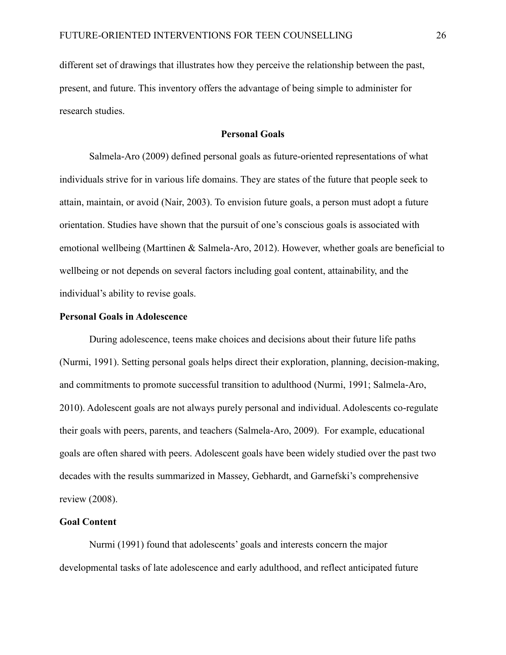different set of drawings that illustrates how they perceive the relationship between the past, present, and future. This inventory offers the advantage of being simple to administer for research studies.

### **Personal Goals**

Salmela-Aro (2009) defined personal goals as future-oriented representations of what individuals strive for in various life domains. They are states of the future that people seek to attain, maintain, or avoid (Nair, 2003). To envision future goals, a person must adopt a future orientation. Studies have shown that the pursuit of one's conscious goals is associated with emotional wellbeing (Marttinen & Salmela-Aro, 2012). However, whether goals are beneficial to wellbeing or not depends on several factors including goal content, attainability, and the individual's ability to revise goals.

#### **Personal Goals in Adolescence**

During adolescence, teens make choices and decisions about their future life paths (Nurmi, 1991). Setting personal goals helps direct their exploration, planning, decision-making, and commitments to promote successful transition to adulthood (Nurmi, 1991; Salmela-Aro, 2010). Adolescent goals are not always purely personal and individual. Adolescents co-regulate their goals with peers, parents, and teachers (Salmela-Aro, 2009). For example, educational goals are often shared with peers. Adolescent goals have been widely studied over the past two decades with the results summarized in Massey, Gebhardt, and Garnefski's comprehensive review (2008).

# **Goal Content**

Nurmi (1991) found that adolescents' goals and interests concern the major developmental tasks of late adolescence and early adulthood, and reflect anticipated future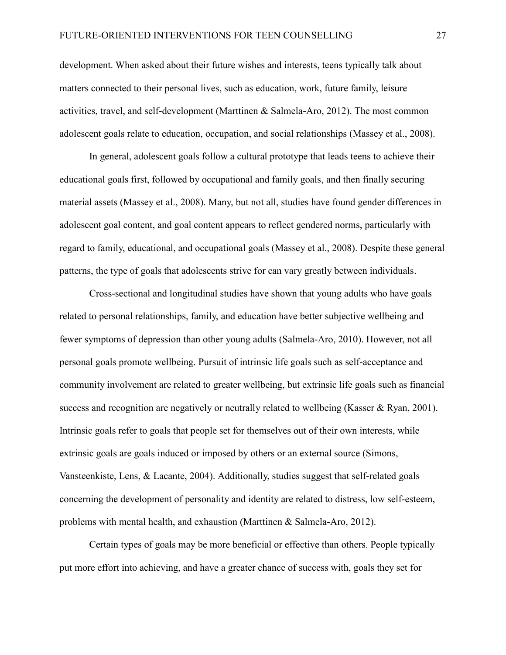development. When asked about their future wishes and interests, teens typically talk about matters connected to their personal lives, such as education, work, future family, leisure activities, travel, and self-development (Marttinen & Salmela-Aro, 2012). The most common adolescent goals relate to education, occupation, and social relationships (Massey et al., 2008).

In general, adolescent goals follow a cultural prototype that leads teens to achieve their educational goals first, followed by occupational and family goals, and then finally securing material assets (Massey et al., 2008). Many, but not all, studies have found gender differences in adolescent goal content, and goal content appears to reflect gendered norms, particularly with regard to family, educational, and occupational goals (Massey et al., 2008). Despite these general patterns, the type of goals that adolescents strive for can vary greatly between individuals.

Cross-sectional and longitudinal studies have shown that young adults who have goals related to personal relationships, family, and education have better subjective wellbeing and fewer symptoms of depression than other young adults (Salmela-Aro, 2010). However, not all personal goals promote wellbeing. Pursuit of intrinsic life goals such as self-acceptance and community involvement are related to greater wellbeing, but extrinsic life goals such as financial success and recognition are negatively or neutrally related to wellbeing (Kasser & Ryan, 2001). Intrinsic goals refer to goals that people set for themselves out of their own interests, while extrinsic goals are goals induced or imposed by others or an external source (Simons, Vansteenkiste, Lens, & Lacante, 2004). Additionally, studies suggest that self-related goals concerning the development of personality and identity are related to distress, low self-esteem, problems with mental health, and exhaustion (Marttinen & Salmela-Aro, 2012).

Certain types of goals may be more beneficial or effective than others. People typically put more effort into achieving, and have a greater chance of success with, goals they set for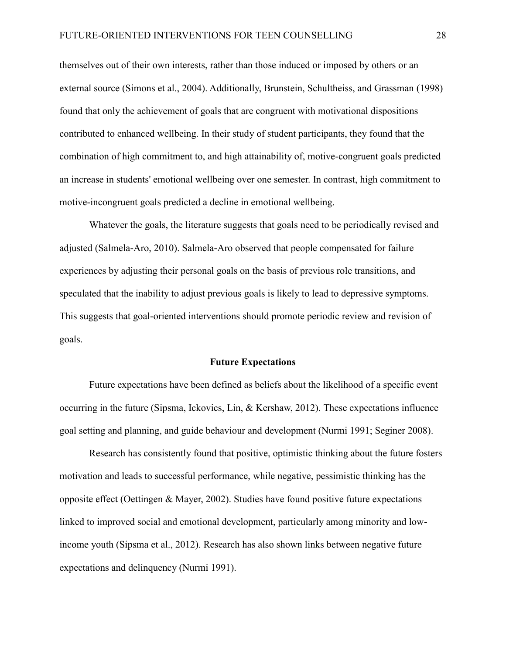themselves out of their own interests, rather than those induced or imposed by others or an external source (Simons et al., 2004). Additionally, Brunstein, Schultheiss, and Grassman (1998) found that only the achievement of goals that are congruent with motivational dispositions contributed to enhanced wellbeing. In their study of student participants, they found that the combination of high commitment to, and high attainability of, motive-congruent goals predicted an increase in students' emotional wellbeing over one semester. In contrast, high commitment to motive-incongruent goals predicted a decline in emotional wellbeing.

Whatever the goals, the literature suggests that goals need to be periodically revised and adjusted (Salmela-Aro, 2010). Salmela-Aro observed that people compensated for failure experiences by adjusting their personal goals on the basis of previous role transitions, and speculated that the inability to adjust previous goals is likely to lead to depressive symptoms. This suggests that goal-oriented interventions should promote periodic review and revision of goals.

#### **Future Expectations**

Future expectations have been defined as beliefs about the likelihood of a specific event occurring in the future (Sipsma, Ickovics, Lin, & Kershaw, 2012). These expectations influence goal setting and planning, and guide behaviour and development (Nurmi 1991; Seginer 2008).

Research has consistently found that positive, optimistic thinking about the future fosters motivation and leads to successful performance, while negative, pessimistic thinking has the opposite effect (Oettingen & Mayer, 2002). Studies have found positive future expectations linked to improved social and emotional development, particularly among minority and lowincome youth (Sipsma et al., 2012). Research has also shown links between negative future expectations and delinquency (Nurmi 1991).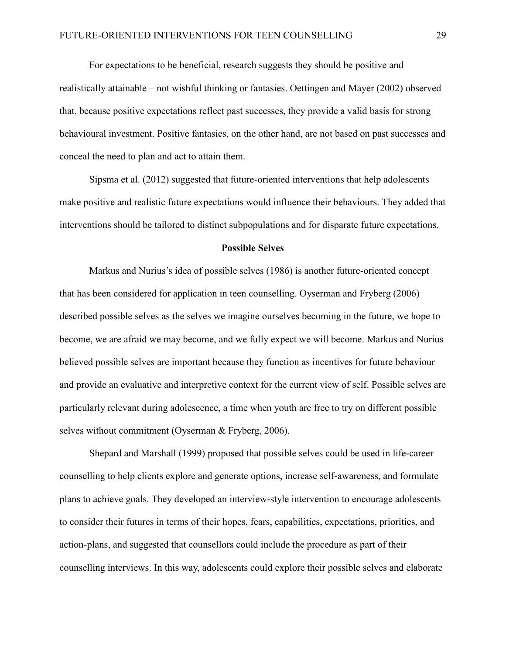For expectations to be beneficial, research suggests they should be positive and realistically attainable – not wishful thinking or fantasies. Oettingen and Mayer (2002) observed that, because positive expectations reflect past successes, they provide a valid basis for strong behavioural investment. Positive fantasies, on the other hand, are not based on past successes and conceal the need to plan and act to attain them.

Sipsma et al. (2012) suggested that future-oriented interventions that help adolescents make positive and realistic future expectations would influence their behaviours. They added that interventions should be tailored to distinct subpopulations and for disparate future expectations.

### **Possible Selves**

Markus and Nurius's idea of possible selves (1986) is another future-oriented concept that has been considered for application in teen counselling. Oyserman and Fryberg (2006) described possible selves as the selves we imagine ourselves becoming in the future, we hope to become, we are afraid we may become, and we fully expect we will become. Markus and Nurius believed possible selves are important because they function as incentives for future behaviour and provide an evaluative and interpretive context for the current view of self. Possible selves are particularly relevant during adolescence, a time when youth are free to try on different possible selves without commitment (Oyserman & Fryberg, 2006).

Shepard and Marshall (1999) proposed that possible selves could be used in life-career counselling to help clients explore and generate options, increase self-awareness, and formulate plans to achieve goals. They developed an interview-style intervention to encourage adolescents to consider their futures in terms of their hopes, fears, capabilities, expectations, priorities, and action-plans, and suggested that counsellors could include the procedure as part of their counselling interviews. In this way, adolescents could explore their possible selves and elaborate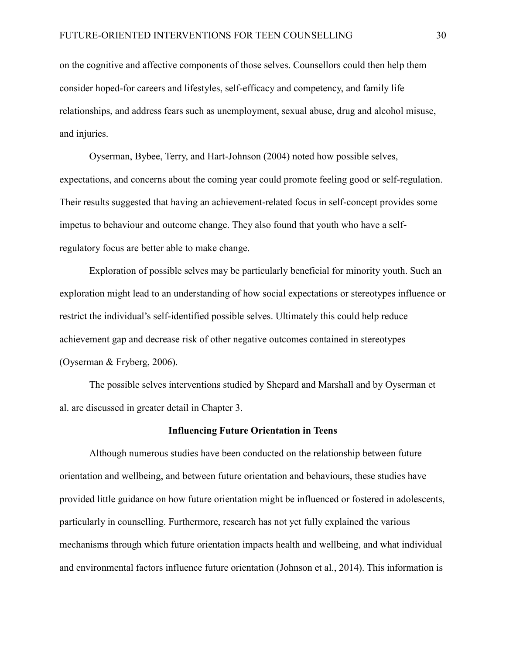on the cognitive and affective components of those selves. Counsellors could then help them consider hoped-for careers and lifestyles, self-efficacy and competency, and family life relationships, and address fears such as unemployment, sexual abuse, drug and alcohol misuse, and injuries.

Oyserman, Bybee, Terry, and Hart-Johnson (2004) noted how possible selves, expectations, and concerns about the coming year could promote feeling good or self-regulation. Their results suggested that having an achievement-related focus in self-concept provides some impetus to behaviour and outcome change. They also found that youth who have a selfregulatory focus are better able to make change.

Exploration of possible selves may be particularly beneficial for minority youth. Such an exploration might lead to an understanding of how social expectations or stereotypes influence or restrict the individual's self-identified possible selves. Ultimately this could help reduce achievement gap and decrease risk of other negative outcomes contained in stereotypes (Oyserman & Fryberg, 2006).

The possible selves interventions studied by Shepard and Marshall and by Oyserman et al. are discussed in greater detail in Chapter 3.

#### **Influencing Future Orientation in Teens**

Although numerous studies have been conducted on the relationship between future orientation and wellbeing, and between future orientation and behaviours, these studies have provided little guidance on how future orientation might be influenced or fostered in adolescents, particularly in counselling. Furthermore, research has not yet fully explained the various mechanisms through which future orientation impacts health and wellbeing, and what individual and environmental factors influence future orientation (Johnson et al., 2014). This information is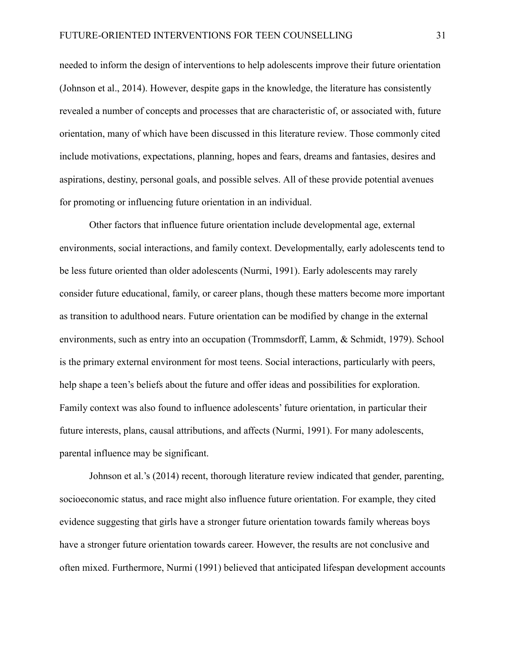needed to inform the design of interventions to help adolescents improve their future orientation (Johnson et al., 2014). However, despite gaps in the knowledge, the literature has consistently revealed a number of concepts and processes that are characteristic of, or associated with, future orientation, many of which have been discussed in this literature review. Those commonly cited include motivations, expectations, planning, hopes and fears, dreams and fantasies, desires and aspirations, destiny, personal goals, and possible selves. All of these provide potential avenues for promoting or influencing future orientation in an individual.

Other factors that influence future orientation include developmental age, external environments, social interactions, and family context. Developmentally, early adolescents tend to be less future oriented than older adolescents (Nurmi, 1991). Early adolescents may rarely consider future educational, family, or career plans, though these matters become more important as transition to adulthood nears. Future orientation can be modified by change in the external environments, such as entry into an occupation (Trommsdorff, Lamm, & Schmidt, 1979). School is the primary external environment for most teens. Social interactions, particularly with peers, help shape a teen's beliefs about the future and offer ideas and possibilities for exploration. Family context was also found to influence adolescents' future orientation, in particular their future interests, plans, causal attributions, and affects (Nurmi, 1991). For many adolescents, parental influence may be significant.

Johnson et al.'s (2014) recent, thorough literature review indicated that gender, parenting, socioeconomic status, and race might also influence future orientation. For example, they cited evidence suggesting that girls have a stronger future orientation towards family whereas boys have a stronger future orientation towards career. However, the results are not conclusive and often mixed. Furthermore, Nurmi (1991) believed that anticipated lifespan development accounts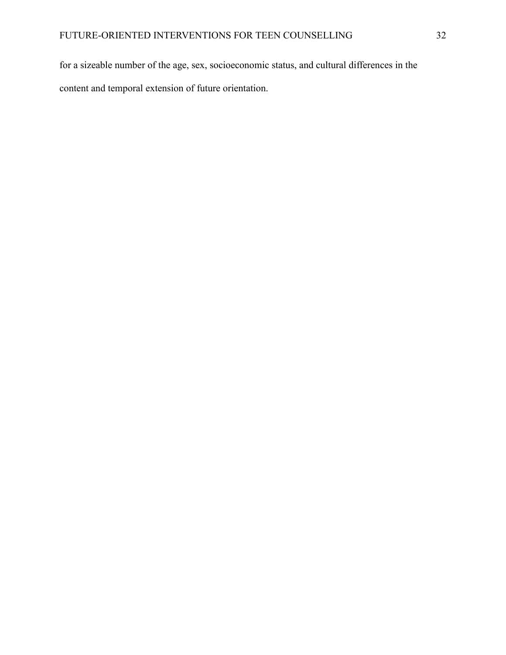for a sizeable number of the age, sex, socioeconomic status, and cultural differences in the content and temporal extension of future orientation.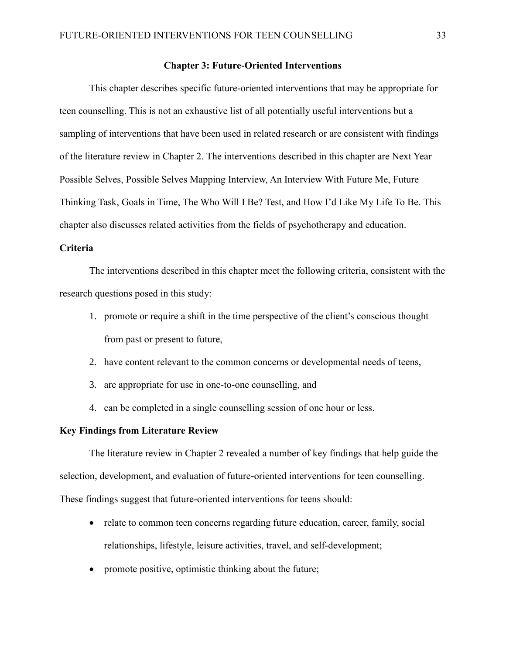### **Chapter 3: Future-Oriented Interventions**

This chapter describes specific future-oriented interventions that may be appropriate for teen counselling. This is not an exhaustive list of all potentially useful interventions but a sampling of interventions that have been used in related research or are consistent with findings of the literature review in Chapter 2. The interventions described in this chapter are Next Year Possible Selves, Possible Selves Mapping Interview, An Interview With Future Me, Future Thinking Task, Goals in Time, The Who Will I Be? Test, and How I'd Like My Life To Be. This chapter also discusses related activities from the fields of psychotherapy and education.

### **Criteria**

The interventions described in this chapter meet the following criteria, consistent with the research questions posed in this study:

- 1. promote or require a shift in the time perspective of the client's conscious thought from past or present to future,
- 2. have content relevant to the common concerns or developmental needs of teens,
- 3. are appropriate for use in one-to-one counselling, and
- 4. can be completed in a single counselling session of one hour or less.

### **Key Findings from Literature Review**

The literature review in Chapter 2 revealed a number of key findings that help guide the selection, development, and evaluation of future-oriented interventions for teen counselling. These findings suggest that future-oriented interventions for teens should:

- relate to common teen concerns regarding future education, career, family, social relationships, lifestyle, leisure activities, travel, and self-development;
- promote positive, optimistic thinking about the future;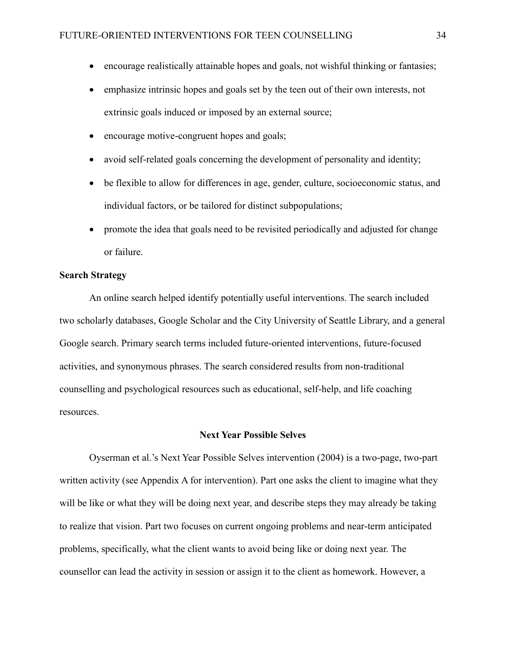- encourage realistically attainable hopes and goals, not wishful thinking or fantasies;
- emphasize intrinsic hopes and goals set by the teen out of their own interests, not extrinsic goals induced or imposed by an external source;
- encourage motive-congruent hopes and goals;
- avoid self-related goals concerning the development of personality and identity;
- be flexible to allow for differences in age, gender, culture, socioeconomic status, and individual factors, or be tailored for distinct subpopulations;
- promote the idea that goals need to be revisited periodically and adjusted for change or failure.

### **Search Strategy**

An online search helped identify potentially useful interventions. The search included two scholarly databases, Google Scholar and the City University of Seattle Library, and a general Google search. Primary search terms included future-oriented interventions, future-focused activities, and synonymous phrases. The search considered results from non-traditional counselling and psychological resources such as educational, self-help, and life coaching resources.

### **Next Year Possible Selves**

Oyserman et al.'s Next Year Possible Selves intervention (2004) is a two-page, two-part written activity (see Appendix A for intervention). Part one asks the client to imagine what they will be like or what they will be doing next year, and describe steps they may already be taking to realize that vision. Part two focuses on current ongoing problems and near-term anticipated problems, specifically, what the client wants to avoid being like or doing next year. The counsellor can lead the activity in session or assign it to the client as homework. However, a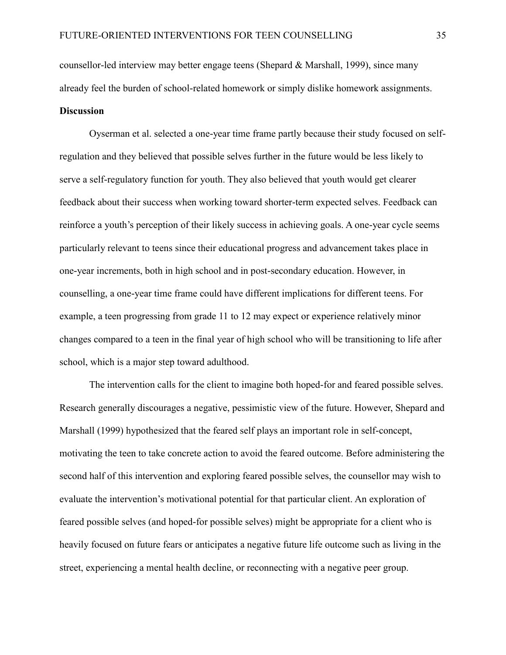counsellor-led interview may better engage teens (Shepard  $\&$  Marshall, 1999), since many already feel the burden of school-related homework or simply dislike homework assignments. **Discussion**

Oyserman et al. selected a one-year time frame partly because their study focused on selfregulation and they believed that possible selves further in the future would be less likely to serve a self-regulatory function for youth. They also believed that youth would get clearer feedback about their success when working toward shorter-term expected selves. Feedback can reinforce a youth's perception of their likely success in achieving goals. A one-year cycle seems particularly relevant to teens since their educational progress and advancement takes place in one-year increments, both in high school and in post-secondary education. However, in counselling, a one-year time frame could have different implications for different teens. For example, a teen progressing from grade 11 to 12 may expect or experience relatively minor changes compared to a teen in the final year of high school who will be transitioning to life after school, which is a major step toward adulthood.

The intervention calls for the client to imagine both hoped-for and feared possible selves. Research generally discourages a negative, pessimistic view of the future. However, Shepard and Marshall (1999) hypothesized that the feared self plays an important role in self-concept, motivating the teen to take concrete action to avoid the feared outcome. Before administering the second half of this intervention and exploring feared possible selves, the counsellor may wish to evaluate the intervention's motivational potential for that particular client. An exploration of feared possible selves (and hoped-for possible selves) might be appropriate for a client who is heavily focused on future fears or anticipates a negative future life outcome such as living in the street, experiencing a mental health decline, or reconnecting with a negative peer group.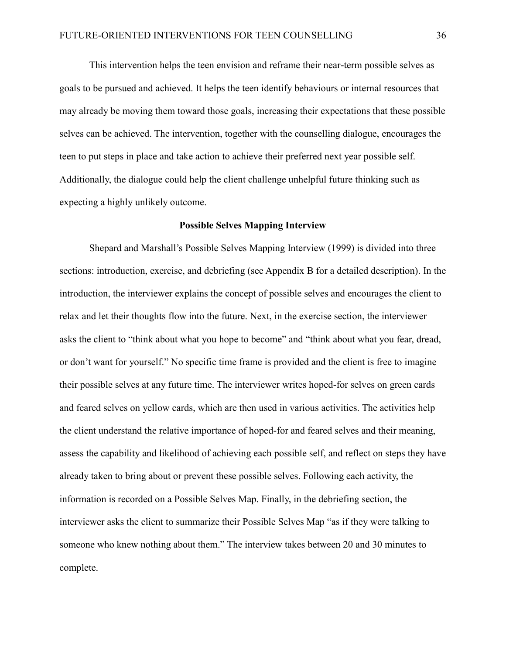This intervention helps the teen envision and reframe their near-term possible selves as goals to be pursued and achieved. It helps the teen identify behaviours or internal resources that may already be moving them toward those goals, increasing their expectations that these possible selves can be achieved. The intervention, together with the counselling dialogue, encourages the teen to put steps in place and take action to achieve their preferred next year possible self. Additionally, the dialogue could help the client challenge unhelpful future thinking such as expecting a highly unlikely outcome.

#### **Possible Selves Mapping Interview**

Shepard and Marshall's Possible Selves Mapping Interview (1999) is divided into three sections: introduction, exercise, and debriefing (see Appendix B for a detailed description). In the introduction, the interviewer explains the concept of possible selves and encourages the client to relax and let their thoughts flow into the future. Next, in the exercise section, the interviewer asks the client to "think about what you hope to become" and "think about what you fear, dread, or don't want for yourself." No specific time frame is provided and the client is free to imagine their possible selves at any future time. The interviewer writes hoped-for selves on green cards and feared selves on yellow cards, which are then used in various activities. The activities help the client understand the relative importance of hoped-for and feared selves and their meaning, assess the capability and likelihood of achieving each possible self, and reflect on steps they have already taken to bring about or prevent these possible selves. Following each activity, the information is recorded on a Possible Selves Map. Finally, in the debriefing section, the interviewer asks the client to summarize their Possible Selves Map "as if they were talking to someone who knew nothing about them." The interview takes between 20 and 30 minutes to complete.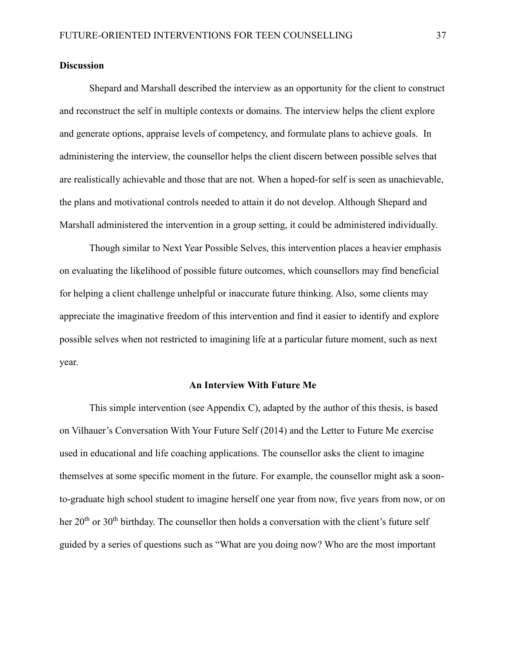# **Discussion**

Shepard and Marshall described the interview as an opportunity for the client to construct and reconstruct the self in multiple contexts or domains. The interview helps the client explore and generate options, appraise levels of competency, and formulate plans to achieve goals. In administering the interview, the counsellor helps the client discern between possible selves that are realistically achievable and those that are not. When a hoped-for self is seen as unachievable, the plans and motivational controls needed to attain it do not develop. Although Shepard and Marshall administered the intervention in a group setting, it could be administered individually.

Though similar to Next Year Possible Selves, this intervention places a heavier emphasis on evaluating the likelihood of possible future outcomes, which counsellors may find beneficial for helping a client challenge unhelpful or inaccurate future thinking. Also, some clients may appreciate the imaginative freedom of this intervention and find it easier to identify and explore possible selves when not restricted to imagining life at a particular future moment, such as next year.

#### **An Interview With Future Me**

This simple intervention (see Appendix C), adapted by the author of this thesis, is based on Vilhauer's Conversation With Your Future Self (2014) and the Letter to Future Me exercise used in educational and life coaching applications. The counsellor asks the client to imagine themselves at some specific moment in the future. For example, the counsellor might ask a soonto-graduate high school student to imagine herself one year from now, five years from now, or on her 20<sup>th</sup> or 30<sup>th</sup> birthday. The counsellor then holds a conversation with the client's future self guided by a series of questions such as "What are you doing now? Who are the most important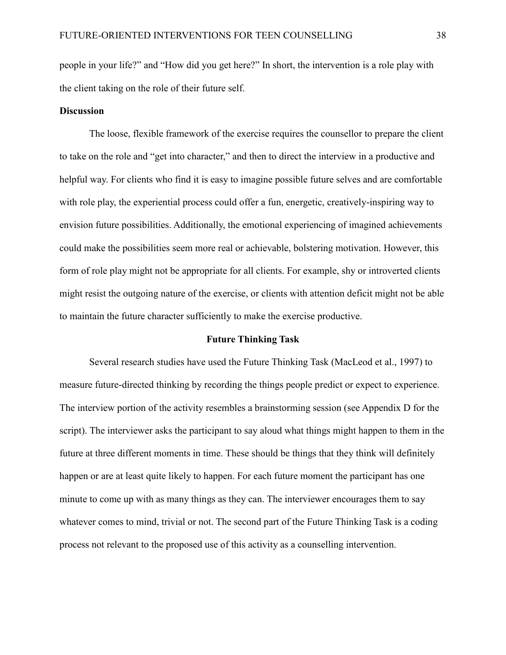people in your life?" and "How did you get here?" In short, the intervention is a role play with the client taking on the role of their future self.

# **Discussion**

The loose, flexible framework of the exercise requires the counsellor to prepare the client to take on the role and "get into character," and then to direct the interview in a productive and helpful way. For clients who find it is easy to imagine possible future selves and are comfortable with role play, the experiential process could offer a fun, energetic, creatively-inspiring way to envision future possibilities. Additionally, the emotional experiencing of imagined achievements could make the possibilities seem more real or achievable, bolstering motivation. However, this form of role play might not be appropriate for all clients. For example, shy or introverted clients might resist the outgoing nature of the exercise, or clients with attention deficit might not be able to maintain the future character sufficiently to make the exercise productive.

#### **Future Thinking Task**

Several research studies have used the Future Thinking Task (MacLeod et al., 1997) to measure future-directed thinking by recording the things people predict or expect to experience. The interview portion of the activity resembles a brainstorming session (see Appendix D for the script). The interviewer asks the participant to say aloud what things might happen to them in the future at three different moments in time. These should be things that they think will definitely happen or are at least quite likely to happen. For each future moment the participant has one minute to come up with as many things as they can. The interviewer encourages them to say whatever comes to mind, trivial or not. The second part of the Future Thinking Task is a coding process not relevant to the proposed use of this activity as a counselling intervention.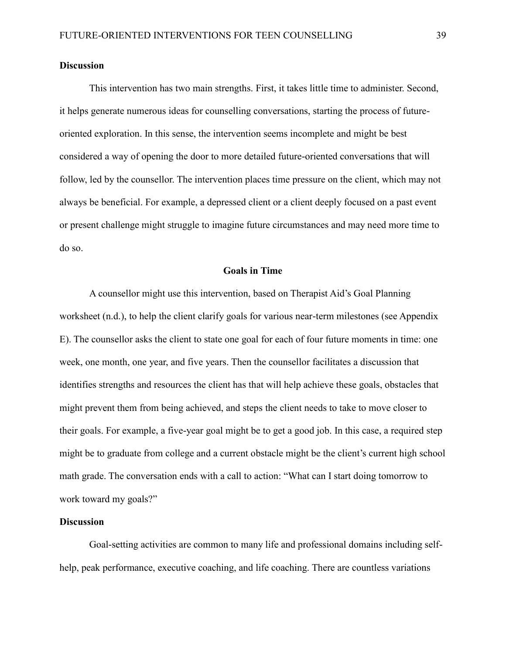# **Discussion**

This intervention has two main strengths. First, it takes little time to administer. Second, it helps generate numerous ideas for counselling conversations, starting the process of futureoriented exploration. In this sense, the intervention seems incomplete and might be best considered a way of opening the door to more detailed future-oriented conversations that will follow, led by the counsellor. The intervention places time pressure on the client, which may not always be beneficial. For example, a depressed client or a client deeply focused on a past event or present challenge might struggle to imagine future circumstances and may need more time to do so.

# **Goals in Time**

A counsellor might use this intervention, based on Therapist Aid's Goal Planning worksheet (n.d.), to help the client clarify goals for various near-term milestones (see Appendix E). The counsellor asks the client to state one goal for each of four future moments in time: one week, one month, one year, and five years. Then the counsellor facilitates a discussion that identifies strengths and resources the client has that will help achieve these goals, obstacles that might prevent them from being achieved, and steps the client needs to take to move closer to their goals. For example, a five-year goal might be to get a good job. In this case, a required step might be to graduate from college and a current obstacle might be the client's current high school math grade. The conversation ends with a call to action: "What can I start doing tomorrow to work toward my goals?"

#### **Discussion**

Goal-setting activities are common to many life and professional domains including selfhelp, peak performance, executive coaching, and life coaching. There are countless variations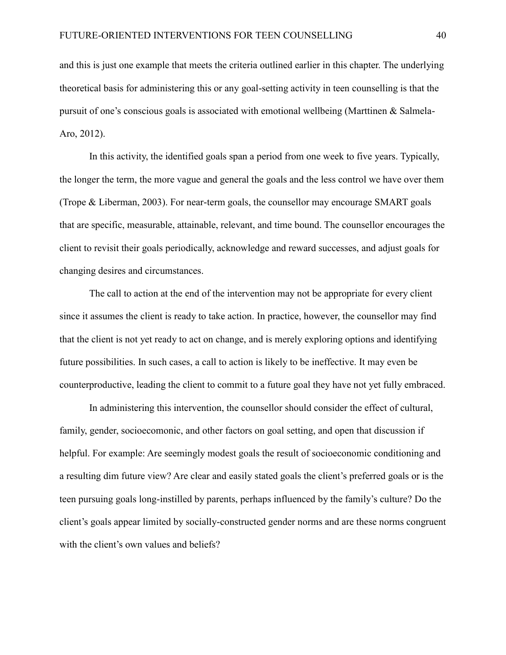and this is just one example that meets the criteria outlined earlier in this chapter. The underlying theoretical basis for administering this or any goal-setting activity in teen counselling is that the pursuit of one's conscious goals is associated with emotional wellbeing (Marttinen & Salmela-Aro, 2012).

In this activity, the identified goals span a period from one week to five years. Typically, the longer the term, the more vague and general the goals and the less control we have over them (Trope & Liberman, 2003). For near-term goals, the counsellor may encourage SMART goals that are specific, measurable, attainable, relevant, and time bound. The counsellor encourages the client to revisit their goals periodically, acknowledge and reward successes, and adjust goals for changing desires and circumstances.

The call to action at the end of the intervention may not be appropriate for every client since it assumes the client is ready to take action. In practice, however, the counsellor may find that the client is not yet ready to act on change, and is merely exploring options and identifying future possibilities. In such cases, a call to action is likely to be ineffective. It may even be counterproductive, leading the client to commit to a future goal they have not yet fully embraced.

In administering this intervention, the counsellor should consider the effect of cultural, family, gender, socioecomonic, and other factors on goal setting, and open that discussion if helpful. For example: Are seemingly modest goals the result of socioeconomic conditioning and a resulting dim future view? Are clear and easily stated goals the client's preferred goals or is the teen pursuing goals long-instilled by parents, perhaps influenced by the family's culture? Do the client's goals appear limited by socially-constructed gender norms and are these norms congruent with the client's own values and beliefs?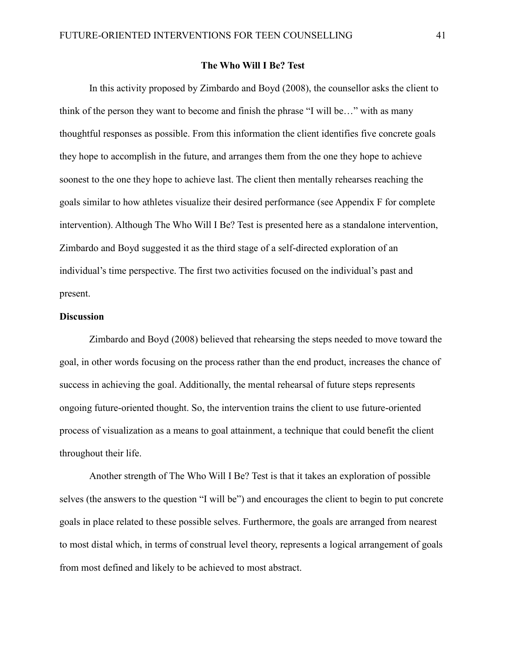#### **The Who Will I Be? Test**

In this activity proposed by Zimbardo and Boyd (2008), the counsellor asks the client to think of the person they want to become and finish the phrase "I will be…" with as many thoughtful responses as possible. From this information the client identifies five concrete goals they hope to accomplish in the future, and arranges them from the one they hope to achieve soonest to the one they hope to achieve last. The client then mentally rehearses reaching the goals similar to how athletes visualize their desired performance (see Appendix F for complete intervention). Although The Who Will I Be? Test is presented here as a standalone intervention, Zimbardo and Boyd suggested it as the third stage of a self-directed exploration of an individual's time perspective. The first two activities focused on the individual's past and present.

# **Discussion**

Zimbardo and Boyd (2008) believed that rehearsing the steps needed to move toward the goal, in other words focusing on the process rather than the end product, increases the chance of success in achieving the goal. Additionally, the mental rehearsal of future steps represents ongoing future-oriented thought. So, the intervention trains the client to use future-oriented process of visualization as a means to goal attainment, a technique that could benefit the client throughout their life.

Another strength of The Who Will I Be? Test is that it takes an exploration of possible selves (the answers to the question "I will be") and encourages the client to begin to put concrete goals in place related to these possible selves. Furthermore, the goals are arranged from nearest to most distal which, in terms of construal level theory, represents a logical arrangement of goals from most defined and likely to be achieved to most abstract.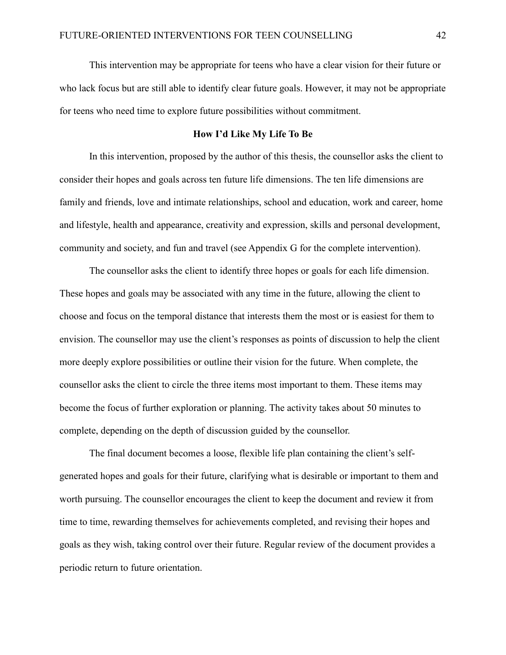This intervention may be appropriate for teens who have a clear vision for their future or who lack focus but are still able to identify clear future goals. However, it may not be appropriate for teens who need time to explore future possibilities without commitment.

### **How I'd Like My Life To Be**

In this intervention, proposed by the author of this thesis, the counsellor asks the client to consider their hopes and goals across ten future life dimensions. The ten life dimensions are family and friends, love and intimate relationships, school and education, work and career, home and lifestyle, health and appearance, creativity and expression, skills and personal development, community and society, and fun and travel (see Appendix G for the complete intervention).

The counsellor asks the client to identify three hopes or goals for each life dimension. These hopes and goals may be associated with any time in the future, allowing the client to choose and focus on the temporal distance that interests them the most or is easiest for them to envision. The counsellor may use the client's responses as points of discussion to help the client more deeply explore possibilities or outline their vision for the future. When complete, the counsellor asks the client to circle the three items most important to them. These items may become the focus of further exploration or planning. The activity takes about 50 minutes to complete, depending on the depth of discussion guided by the counsellor.

The final document becomes a loose, flexible life plan containing the client's selfgenerated hopes and goals for their future, clarifying what is desirable or important to them and worth pursuing. The counsellor encourages the client to keep the document and review it from time to time, rewarding themselves for achievements completed, and revising their hopes and goals as they wish, taking control over their future. Regular review of the document provides a periodic return to future orientation.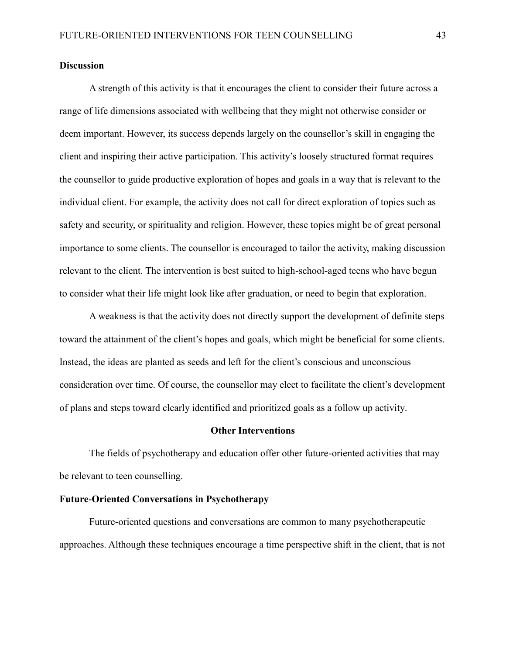# **Discussion**

A strength of this activity is that it encourages the client to consider their future across a range of life dimensions associated with wellbeing that they might not otherwise consider or deem important. However, its success depends largely on the counsellor's skill in engaging the client and inspiring their active participation. This activity's loosely structured format requires the counsellor to guide productive exploration of hopes and goals in a way that is relevant to the individual client. For example, the activity does not call for direct exploration of topics such as safety and security, or spirituality and religion. However, these topics might be of great personal importance to some clients. The counsellor is encouraged to tailor the activity, making discussion relevant to the client. The intervention is best suited to high-school-aged teens who have begun to consider what their life might look like after graduation, or need to begin that exploration.

A weakness is that the activity does not directly support the development of definite steps toward the attainment of the client's hopes and goals, which might be beneficial for some clients. Instead, the ideas are planted as seeds and left for the client's conscious and unconscious consideration over time. Of course, the counsellor may elect to facilitate the client's development of plans and steps toward clearly identified and prioritized goals as a follow up activity.

#### **Other Interventions**

The fields of psychotherapy and education offer other future-oriented activities that may be relevant to teen counselling.

# **Future-Oriented Conversations in Psychotherapy**

Future-oriented questions and conversations are common to many psychotherapeutic approaches. Although these techniques encourage a time perspective shift in the client, that is not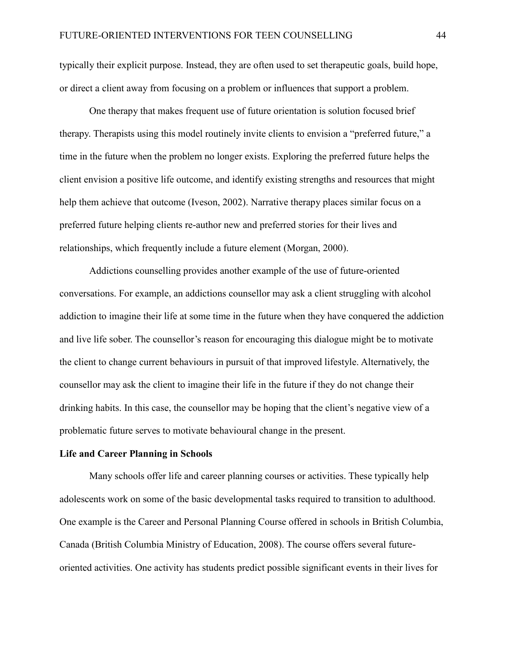typically their explicit purpose. Instead, they are often used to set therapeutic goals, build hope, or direct a client away from focusing on a problem or influences that support a problem.

One therapy that makes frequent use of future orientation is solution focused brief therapy. Therapists using this model routinely invite clients to envision a "preferred future," a time in the future when the problem no longer exists. Exploring the preferred future helps the client envision a positive life outcome, and identify existing strengths and resources that might help them achieve that outcome (Iveson, 2002). Narrative therapy places similar focus on a preferred future helping clients re-author new and preferred stories for their lives and relationships, which frequently include a future element (Morgan, 2000).

Addictions counselling provides another example of the use of future-oriented conversations. For example, an addictions counsellor may ask a client struggling with alcohol addiction to imagine their life at some time in the future when they have conquered the addiction and live life sober. The counsellor's reason for encouraging this dialogue might be to motivate the client to change current behaviours in pursuit of that improved lifestyle. Alternatively, the counsellor may ask the client to imagine their life in the future if they do not change their drinking habits. In this case, the counsellor may be hoping that the client's negative view of a problematic future serves to motivate behavioural change in the present.

#### **Life and Career Planning in Schools**

Many schools offer life and career planning courses or activities. These typically help adolescents work on some of the basic developmental tasks required to transition to adulthood. One example is the Career and Personal Planning Course offered in schools in British Columbia, Canada (British Columbia Ministry of Education, 2008). The course offers several futureoriented activities. One activity has students predict possible significant events in their lives for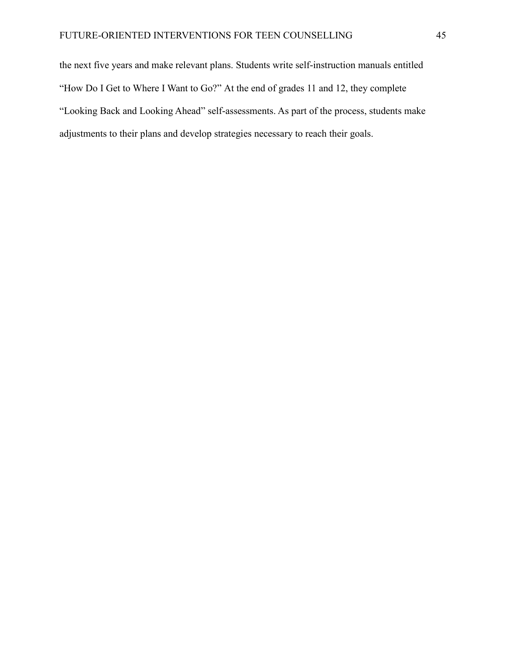the next five years and make relevant plans. Students write self-instruction manuals entitled "How Do I Get to Where I Want to Go?" At the end of grades 11 and 12, they complete "Looking Back and Looking Ahead" self-assessments. As part of the process, students make adjustments to their plans and develop strategies necessary to reach their goals.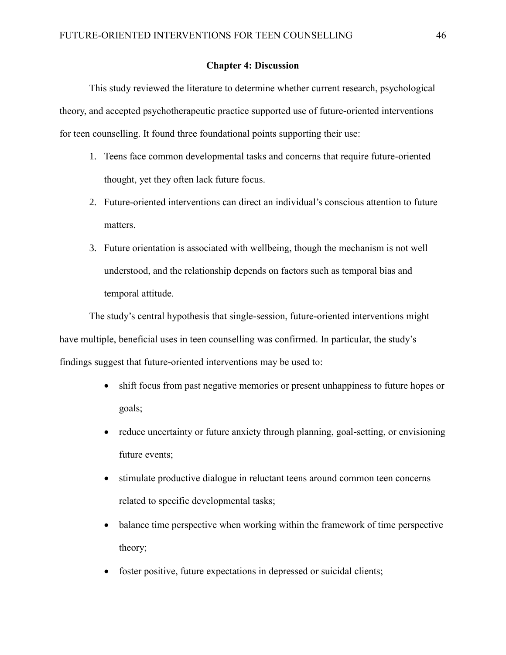## **Chapter 4: Discussion**

This study reviewed the literature to determine whether current research, psychological theory, and accepted psychotherapeutic practice supported use of future-oriented interventions for teen counselling. It found three foundational points supporting their use:

- 1. Teens face common developmental tasks and concerns that require future-oriented thought, yet they often lack future focus.
- 2. Future-oriented interventions can direct an individual's conscious attention to future matters.
- 3. Future orientation is associated with wellbeing, though the mechanism is not well understood, and the relationship depends on factors such as temporal bias and temporal attitude.

The study's central hypothesis that single-session, future-oriented interventions might have multiple, beneficial uses in teen counselling was confirmed. In particular, the study's findings suggest that future-oriented interventions may be used to:

- shift focus from past negative memories or present unhappiness to future hopes or goals;
- reduce uncertainty or future anxiety through planning, goal-setting, or envisioning future events;
- stimulate productive dialogue in reluctant teens around common teen concerns related to specific developmental tasks;
- balance time perspective when working within the framework of time perspective theory;
- foster positive, future expectations in depressed or suicidal clients;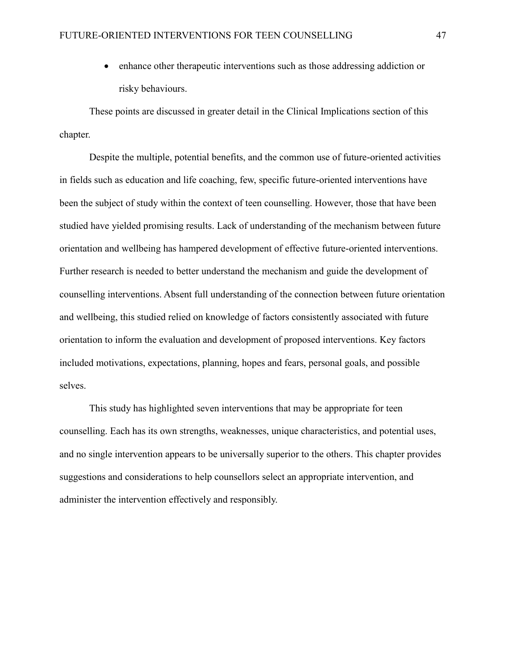enhance other therapeutic interventions such as those addressing addiction or risky behaviours.

These points are discussed in greater detail in the Clinical Implications section of this chapter.

Despite the multiple, potential benefits, and the common use of future-oriented activities in fields such as education and life coaching, few, specific future-oriented interventions have been the subject of study within the context of teen counselling. However, those that have been studied have yielded promising results. Lack of understanding of the mechanism between future orientation and wellbeing has hampered development of effective future-oriented interventions. Further research is needed to better understand the mechanism and guide the development of counselling interventions. Absent full understanding of the connection between future orientation and wellbeing, this studied relied on knowledge of factors consistently associated with future orientation to inform the evaluation and development of proposed interventions. Key factors included motivations, expectations, planning, hopes and fears, personal goals, and possible selves.

This study has highlighted seven interventions that may be appropriate for teen counselling. Each has its own strengths, weaknesses, unique characteristics, and potential uses, and no single intervention appears to be universally superior to the others. This chapter provides suggestions and considerations to help counsellors select an appropriate intervention, and administer the intervention effectively and responsibly.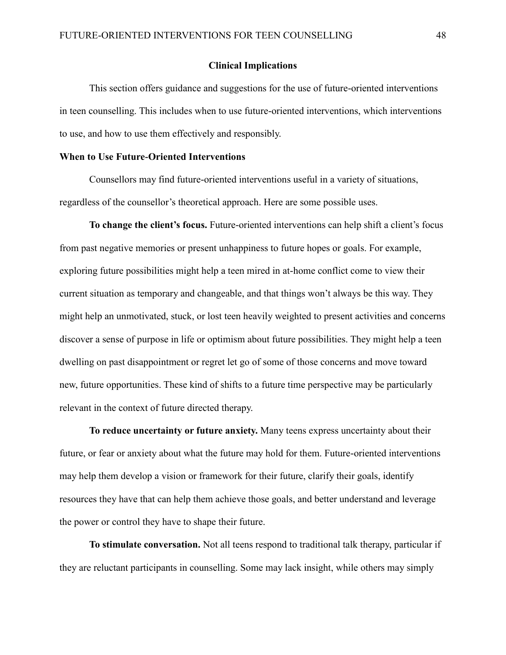### **Clinical Implications**

This section offers guidance and suggestions for the use of future-oriented interventions in teen counselling. This includes when to use future-oriented interventions, which interventions to use, and how to use them effectively and responsibly.

# **When to Use Future-Oriented Interventions**

Counsellors may find future-oriented interventions useful in a variety of situations, regardless of the counsellor's theoretical approach. Here are some possible uses.

**To change the client's focus.** Future-oriented interventions can help shift a client's focus from past negative memories or present unhappiness to future hopes or goals. For example, exploring future possibilities might help a teen mired in at-home conflict come to view their current situation as temporary and changeable, and that things won't always be this way. They might help an unmotivated, stuck, or lost teen heavily weighted to present activities and concerns discover a sense of purpose in life or optimism about future possibilities. They might help a teen dwelling on past disappointment or regret let go of some of those concerns and move toward new, future opportunities. These kind of shifts to a future time perspective may be particularly relevant in the context of future directed therapy.

**To reduce uncertainty or future anxiety.** Many teens express uncertainty about their future, or fear or anxiety about what the future may hold for them. Future-oriented interventions may help them develop a vision or framework for their future, clarify their goals, identify resources they have that can help them achieve those goals, and better understand and leverage the power or control they have to shape their future.

**To stimulate conversation.** Not all teens respond to traditional talk therapy, particular if they are reluctant participants in counselling. Some may lack insight, while others may simply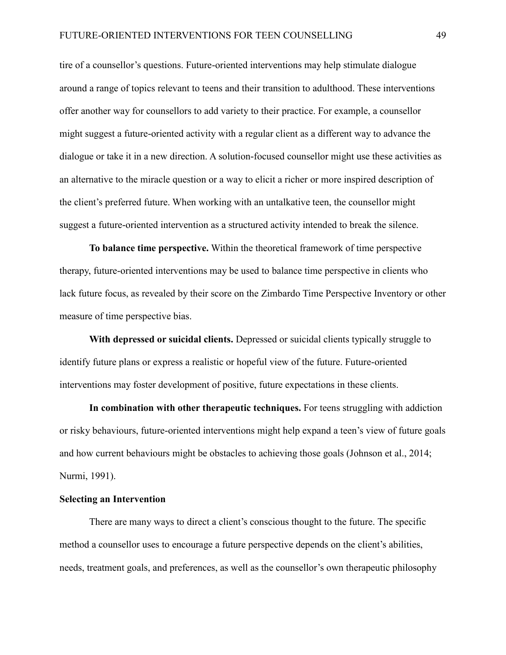tire of a counsellor's questions. Future-oriented interventions may help stimulate dialogue around a range of topics relevant to teens and their transition to adulthood. These interventions offer another way for counsellors to add variety to their practice. For example, a counsellor might suggest a future-oriented activity with a regular client as a different way to advance the dialogue or take it in a new direction. A solution-focused counsellor might use these activities as an alternative to the miracle question or a way to elicit a richer or more inspired description of the client's preferred future. When working with an untalkative teen, the counsellor might suggest a future-oriented intervention as a structured activity intended to break the silence.

**To balance time perspective.** Within the theoretical framework of time perspective therapy, future-oriented interventions may be used to balance time perspective in clients who lack future focus, as revealed by their score on the Zimbardo Time Perspective Inventory or other measure of time perspective bias.

**With depressed or suicidal clients.** Depressed or suicidal clients typically struggle to identify future plans or express a realistic or hopeful view of the future. Future-oriented interventions may foster development of positive, future expectations in these clients.

**In combination with other therapeutic techniques.** For teens struggling with addiction or risky behaviours, future-oriented interventions might help expand a teen's view of future goals and how current behaviours might be obstacles to achieving those goals (Johnson et al., 2014; Nurmi, 1991).

### **Selecting an Intervention**

There are many ways to direct a client's conscious thought to the future. The specific method a counsellor uses to encourage a future perspective depends on the client's abilities, needs, treatment goals, and preferences, as well as the counsellor's own therapeutic philosophy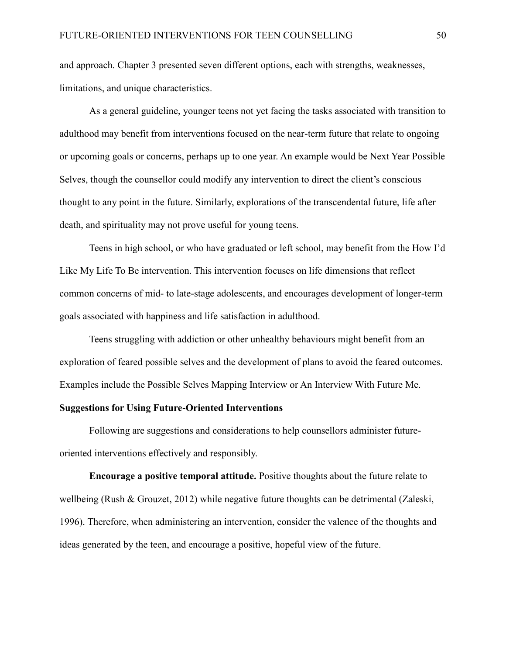and approach. Chapter 3 presented seven different options, each with strengths, weaknesses, limitations, and unique characteristics.

As a general guideline, younger teens not yet facing the tasks associated with transition to adulthood may benefit from interventions focused on the near-term future that relate to ongoing or upcoming goals or concerns, perhaps up to one year. An example would be Next Year Possible Selves, though the counsellor could modify any intervention to direct the client's conscious thought to any point in the future. Similarly, explorations of the transcendental future, life after death, and spirituality may not prove useful for young teens.

Teens in high school, or who have graduated or left school, may benefit from the How I'd Like My Life To Be intervention. This intervention focuses on life dimensions that reflect common concerns of mid- to late-stage adolescents, and encourages development of longer-term goals associated with happiness and life satisfaction in adulthood.

Teens struggling with addiction or other unhealthy behaviours might benefit from an exploration of feared possible selves and the development of plans to avoid the feared outcomes. Examples include the Possible Selves Mapping Interview or An Interview With Future Me.

# **Suggestions for Using Future-Oriented Interventions**

Following are suggestions and considerations to help counsellors administer futureoriented interventions effectively and responsibly.

**Encourage a positive temporal attitude.** Positive thoughts about the future relate to wellbeing (Rush & Grouzet, 2012) while negative future thoughts can be detrimental (Zaleski, 1996). Therefore, when administering an intervention, consider the valence of the thoughts and ideas generated by the teen, and encourage a positive, hopeful view of the future.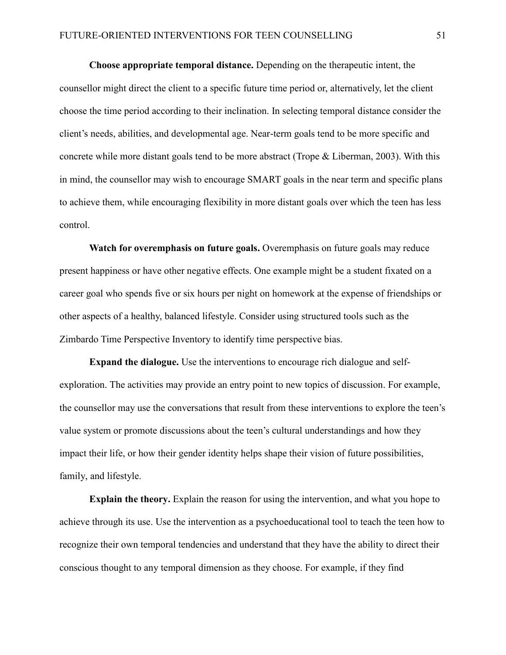**Choose appropriate temporal distance.** Depending on the therapeutic intent, the counsellor might direct the client to a specific future time period or, alternatively, let the client choose the time period according to their inclination. In selecting temporal distance consider the client's needs, abilities, and developmental age. Near-term goals tend to be more specific and concrete while more distant goals tend to be more abstract (Trope & Liberman, 2003). With this in mind, the counsellor may wish to encourage SMART goals in the near term and specific plans to achieve them, while encouraging flexibility in more distant goals over which the teen has less control.

**Watch for overemphasis on future goals.** Overemphasis on future goals may reduce present happiness or have other negative effects. One example might be a student fixated on a career goal who spends five or six hours per night on homework at the expense of friendships or other aspects of a healthy, balanced lifestyle. Consider using structured tools such as the Zimbardo Time Perspective Inventory to identify time perspective bias.

**Expand the dialogue.** Use the interventions to encourage rich dialogue and selfexploration. The activities may provide an entry point to new topics of discussion. For example, the counsellor may use the conversations that result from these interventions to explore the teen's value system or promote discussions about the teen's cultural understandings and how they impact their life, or how their gender identity helps shape their vision of future possibilities, family, and lifestyle.

**Explain the theory.** Explain the reason for using the intervention, and what you hope to achieve through its use. Use the intervention as a psychoeducational tool to teach the teen how to recognize their own temporal tendencies and understand that they have the ability to direct their conscious thought to any temporal dimension as they choose. For example, if they find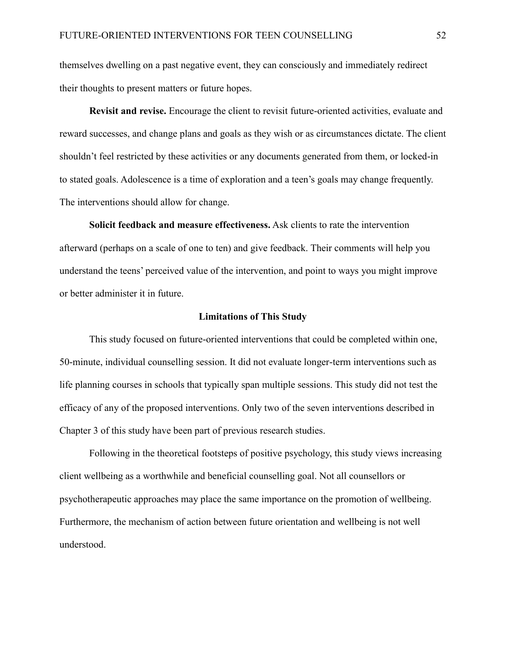themselves dwelling on a past negative event, they can consciously and immediately redirect their thoughts to present matters or future hopes.

**Revisit and revise.** Encourage the client to revisit future-oriented activities, evaluate and reward successes, and change plans and goals as they wish or as circumstances dictate. The client shouldn't feel restricted by these activities or any documents generated from them, or locked-in to stated goals. Adolescence is a time of exploration and a teen's goals may change frequently. The interventions should allow for change.

**Solicit feedback and measure effectiveness.** Ask clients to rate the intervention afterward (perhaps on a scale of one to ten) and give feedback. Their comments will help you understand the teens' perceived value of the intervention, and point to ways you might improve or better administer it in future.

### **Limitations of This Study**

This study focused on future-oriented interventions that could be completed within one, 50-minute, individual counselling session. It did not evaluate longer-term interventions such as life planning courses in schools that typically span multiple sessions. This study did not test the efficacy of any of the proposed interventions. Only two of the seven interventions described in Chapter 3 of this study have been part of previous research studies.

Following in the theoretical footsteps of positive psychology, this study views increasing client wellbeing as a worthwhile and beneficial counselling goal. Not all counsellors or psychotherapeutic approaches may place the same importance on the promotion of wellbeing. Furthermore, the mechanism of action between future orientation and wellbeing is not well understood.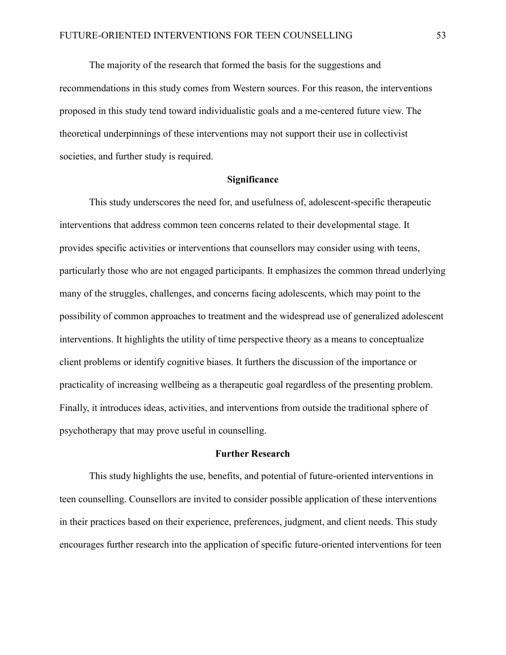The majority of the research that formed the basis for the suggestions and recommendations in this study comes from Western sources. For this reason, the interventions proposed in this study tend toward individualistic goals and a me-centered future view. The theoretical underpinnings of these interventions may not support their use in collectivist societies, and further study is required.

#### **Significance**

This study underscores the need for, and usefulness of, adolescent-specific therapeutic interventions that address common teen concerns related to their developmental stage. It provides specific activities or interventions that counsellors may consider using with teens, particularly those who are not engaged participants. It emphasizes the common thread underlying many of the struggles, challenges, and concerns facing adolescents, which may point to the possibility of common approaches to treatment and the widespread use of generalized adolescent interventions. It highlights the utility of time perspective theory as a means to conceptualize client problems or identify cognitive biases. It furthers the discussion of the importance or practicality of increasing wellbeing as a therapeutic goal regardless of the presenting problem. Finally, it introduces ideas, activities, and interventions from outside the traditional sphere of psychotherapy that may prove useful in counselling.

#### **Further Research**

This study highlights the use, benefits, and potential of future-oriented interventions in teen counselling. Counsellors are invited to consider possible application of these interventions in their practices based on their experience, preferences, judgment, and client needs. This study encourages further research into the application of specific future-oriented interventions for teen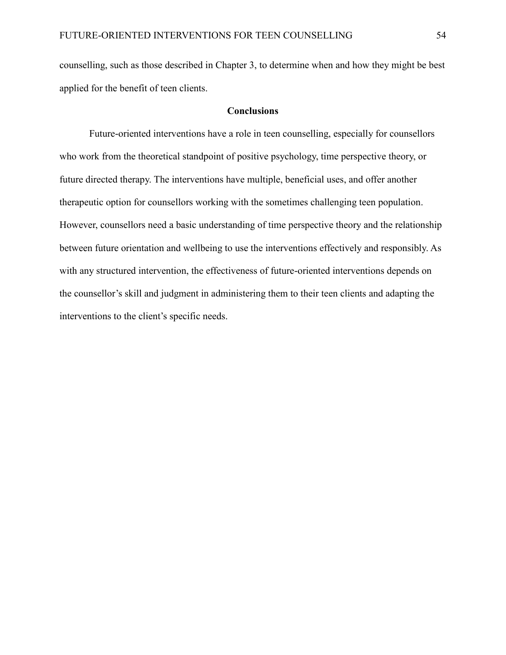counselling, such as those described in Chapter 3, to determine when and how they might be best applied for the benefit of teen clients.

# **Conclusions**

Future-oriented interventions have a role in teen counselling, especially for counsellors who work from the theoretical standpoint of positive psychology, time perspective theory, or future directed therapy. The interventions have multiple, beneficial uses, and offer another therapeutic option for counsellors working with the sometimes challenging teen population. However, counsellors need a basic understanding of time perspective theory and the relationship between future orientation and wellbeing to use the interventions effectively and responsibly. As with any structured intervention, the effectiveness of future-oriented interventions depends on the counsellor's skill and judgment in administering them to their teen clients and adapting the interventions to the client's specific needs.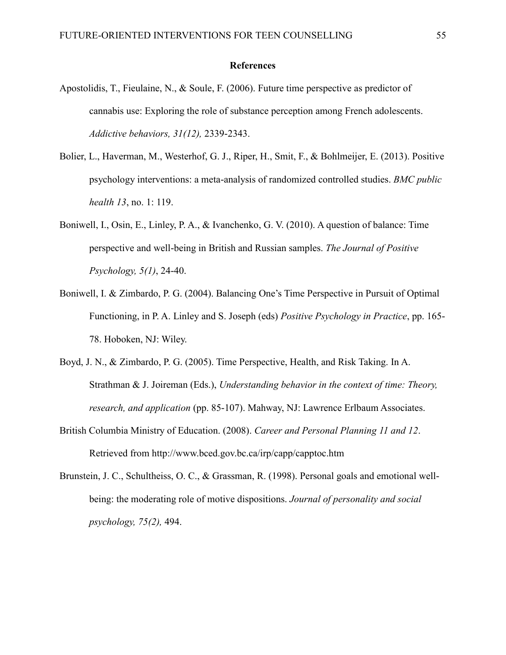#### **References**

- Apostolidis, T., Fieulaine, N., & Soule, F. (2006). Future time perspective as predictor of cannabis use: Exploring the role of substance perception among French adolescents. *Addictive behaviors, 31(12),* 2339-2343.
- Bolier, L., Haverman, M., Westerhof, G. J., Riper, H., Smit, F., & Bohlmeijer, E. (2013). Positive psychology interventions: a meta-analysis of randomized controlled studies. *BMC public health 13*, no. 1: 119.
- Boniwell, I., Osin, E., Linley, P. A., & Ivanchenko, G. V. (2010). A question of balance: Time perspective and well-being in British and Russian samples. *The Journal of Positive Psychology, 5(1)*, 24-40.
- Boniwell, I. & Zimbardo, P. G. (2004). Balancing One's Time Perspective in Pursuit of Optimal Functioning, in P. A. Linley and S. Joseph (eds) *Positive Psychology in Practice*, pp. 165- 78. Hoboken, NJ: Wiley.
- Boyd, J. N., & Zimbardo, P. G. (2005). Time Perspective, Health, and Risk Taking. In A. Strathman & J. Joireman (Eds.), *Understanding behavior in the context of time: Theory, research, and application* (pp. 85-107). Mahway, NJ: Lawrence Erlbaum Associates.
- British Columbia Ministry of Education. (2008). *Career and Personal Planning 11 and 12*. Retrieved from http://www.bced.gov.bc.ca/irp/capp/capptoc.htm
- Brunstein, J. C., Schultheiss, O. C., & Grassman, R. (1998). Personal goals and emotional wellbeing: the moderating role of motive dispositions. *Journal of personality and social psychology, 75(2),* 494.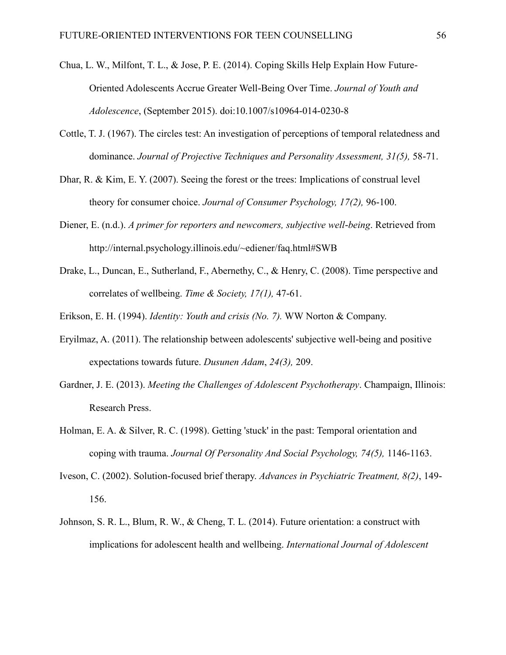- Chua, L. W., Milfont, T. L., & Jose, P. E. (2014). Coping Skills Help Explain How Future-Oriented Adolescents Accrue Greater Well-Being Over Time. *Journal of Youth and Adolescence*, (September 2015). doi:10.1007/s10964-014-0230-8
- Cottle, T. J. (1967). The circles test: An investigation of perceptions of temporal relatedness and dominance. *Journal of Projective Techniques and Personality Assessment, 31(5),* 58-71.
- Dhar, R. & Kim, E. Y. (2007). Seeing the forest or the trees: Implications of construal level theory for consumer choice. *Journal of Consumer Psychology, 17(2),* 96-100.
- Diener, E. (n.d.). *A primer for reporters and newcomers, subjective well-being*. Retrieved from http://internal.psychology.illinois.edu/~ediener/faq.html#SWB
- Drake, L., Duncan, E., Sutherland, F., Abernethy, C., & Henry, C. (2008). Time perspective and correlates of wellbeing. *Time & Society, 17(1),* 47-61.
- Erikson, E. H. (1994). *Identity: Youth and crisis (No. 7).* WW Norton & Company.
- Eryilmaz, A. (2011). The relationship between adolescents' subjective well-being and positive expectations towards future. *Dusunen Adam*, *24(3),* 209.
- Gardner, J. E. (2013). *Meeting the Challenges of Adolescent Psychotherapy*. Champaign, Illinois: Research Press.
- Holman, E. A. & Silver, R. C. (1998). Getting 'stuck' in the past: Temporal orientation and coping with trauma. *Journal Of Personality And Social Psychology, 74(5),* 1146-1163.
- Iveson, C. (2002). Solution-focused brief therapy. *Advances in Psychiatric Treatment, 8(2)*, 149- 156.
- Johnson, S. R. L., Blum, R. W., & Cheng, T. L. (2014). Future orientation: a construct with implications for adolescent health and wellbeing. *International Journal of Adolescent*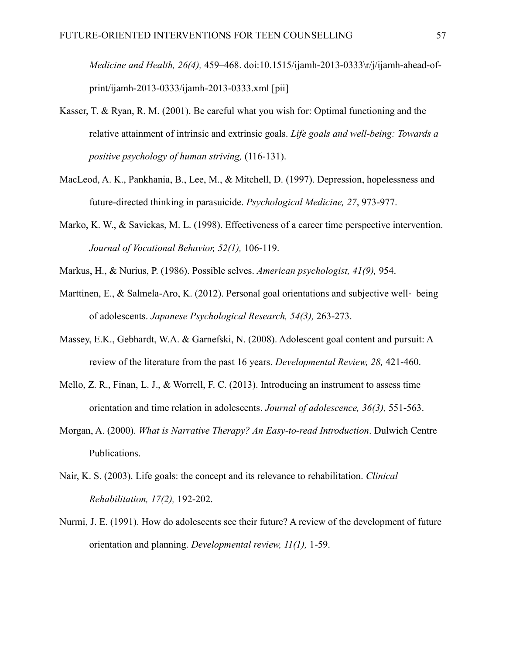*Medicine and Health, 26(4),* 459–468. doi:10.1515/ijamh-2013-0333\r/j/ijamh-ahead-ofprint/ijamh-2013-0333/ijamh-2013-0333.xml [pii]

- Kasser, T. & Ryan, R. M. (2001). Be careful what you wish for: Optimal functioning and the relative attainment of intrinsic and extrinsic goals. *Life goals and well-being: Towards a positive psychology of human striving,* (116-131).
- MacLeod, A. K., Pankhania, B., Lee, M., & Mitchell, D. (1997). Depression, hopelessness and future-directed thinking in parasuicide. *Psychological Medicine, 27*, 973-977.
- Marko, K. W., & Savickas, M. L. (1998). Effectiveness of a career time perspective intervention. *Journal of Vocational Behavior, 52(1),* 106-119.
- Markus, H., & Nurius, P. (1986). Possible selves. *American psychologist, 41(9),* 954.
- Marttinen, E., & Salmela-Aro, K. (2012). Personal goal orientations and subjective well- being of adolescents. *Japanese Psychological Research, 54(3),* 263-273.
- Massey, E.K., Gebhardt, W.A. & Garnefski, N. (2008). Adolescent goal content and pursuit: A review of the literature from the past 16 years. *Developmental Review, 28,* 421-460.
- Mello, Z. R., Finan, L. J., & Worrell, F. C. (2013). Introducing an instrument to assess time orientation and time relation in adolescents. *Journal of adolescence, 36(3),* 551-563.
- Morgan, A. (2000). *What is Narrative Therapy? An Easy-to-read Introduction*. Dulwich Centre Publications.
- Nair, K. S. (2003). Life goals: the concept and its relevance to rehabilitation. *Clinical Rehabilitation, 17(2),* 192-202.
- Nurmi, J. E. (1991). How do adolescents see their future? A review of the development of future orientation and planning. *Developmental review, 11(1),* 1-59.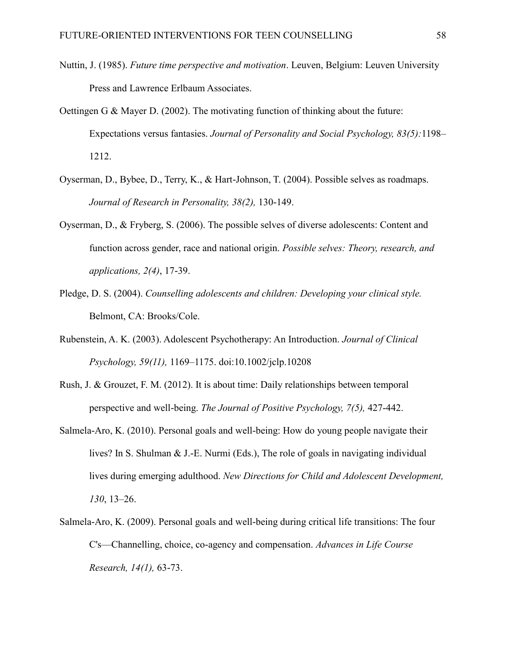- Nuttin, J. (1985). *Future time perspective and motivation*. Leuven, Belgium: Leuven University Press and Lawrence Erlbaum Associates.
- Oettingen G & Mayer D. (2002). The motivating function of thinking about the future: Expectations versus fantasies. *Journal of Personality and Social Psychology, 83(5):*1198– 1212.
- Oyserman, D., Bybee, D., Terry, K., & Hart-Johnson, T. (2004). Possible selves as roadmaps. *Journal of Research in Personality, 38(2),* 130-149.
- Oyserman, D., & Fryberg, S. (2006). The possible selves of diverse adolescents: Content and function across gender, race and national origin. *Possible selves: Theory, research, and applications, 2(4)*, 17-39.
- Pledge, D. S. (2004). *Counselling adolescents and children: Developing your clinical style.*  Belmont, CA: Brooks/Cole.
- Rubenstein, A. K. (2003). Adolescent Psychotherapy: An Introduction. *Journal of Clinical Psychology, 59(11),* 1169–1175. doi:10.1002/jclp.10208
- Rush, J. & Grouzet, F. M. (2012). It is about time: Daily relationships between temporal perspective and well-being. *The Journal of Positive Psychology, 7(5),* 427-442.
- Salmela-Aro, K. (2010). Personal goals and well-being: How do young people navigate their lives? In S. Shulman & J.-E. Nurmi (Eds.), The role of goals in navigating individual lives during emerging adulthood. *New Directions for Child and Adolescent Development, 130*, 13–26.
- Salmela-Aro, K. (2009). Personal goals and well-being during critical life transitions: The four C's—Channelling, choice, co-agency and compensation. *Advances in Life Course Research, 14(1),* 63-73.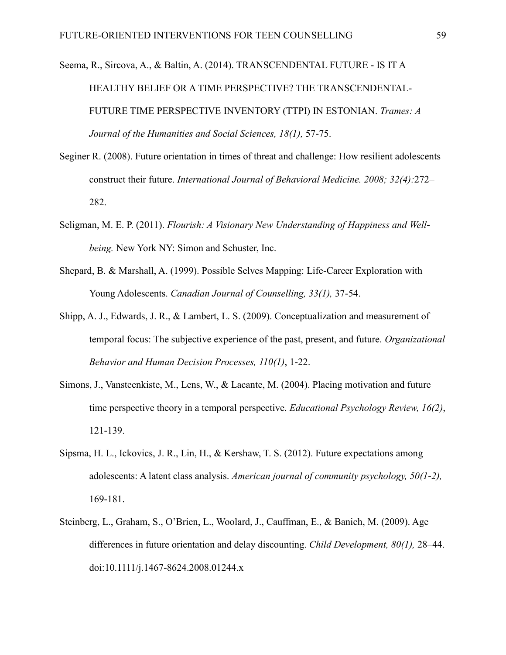Seema, R., Sircova, A., & Baltin, A. (2014). TRANSCENDENTAL FUTURE - IS IT A HEALTHY BELIEF OR A TIME PERSPECTIVE? THE TRANSCENDENTAL-FUTURE TIME PERSPECTIVE INVENTORY (TTPI) IN ESTONIAN. *Trames: A Journal of the Humanities and Social Sciences, 18(1),* 57-75.

- Seginer R. (2008). Future orientation in times of threat and challenge: How resilient adolescents construct their future. *International Journal of Behavioral Medicine. 2008; 32(4):*272– 282.
- Seligman, M. E. P. (2011). *Flourish: A Visionary New Understanding of Happiness and Wellbeing.* New York NY: Simon and Schuster, Inc.
- Shepard, B. & Marshall, A. (1999). Possible Selves Mapping: Life-Career Exploration with Young Adolescents. *Canadian Journal of Counselling, 33(1),* 37-54.
- Shipp, A. J., Edwards, J. R., & Lambert, L. S. (2009). Conceptualization and measurement of temporal focus: The subjective experience of the past, present, and future. *Organizational Behavior and Human Decision Processes, 110(1)*, 1-22.
- Simons, J., Vansteenkiste, M., Lens, W., & Lacante, M. (2004). Placing motivation and future time perspective theory in a temporal perspective. *Educational Psychology Review, 16(2)*, 121-139.
- Sipsma, H. L., Ickovics, J. R., Lin, H., & Kershaw, T. S. (2012). Future expectations among adolescents: A latent class analysis. *American journal of community psychology, 50(1-2),* 169-181.
- Steinberg, L., Graham, S., O'Brien, L., Woolard, J., Cauffman, E., & Banich, M. (2009). Age differences in future orientation and delay discounting. *Child Development, 80(1),* 28–44. doi:10.1111/j.1467-8624.2008.01244.x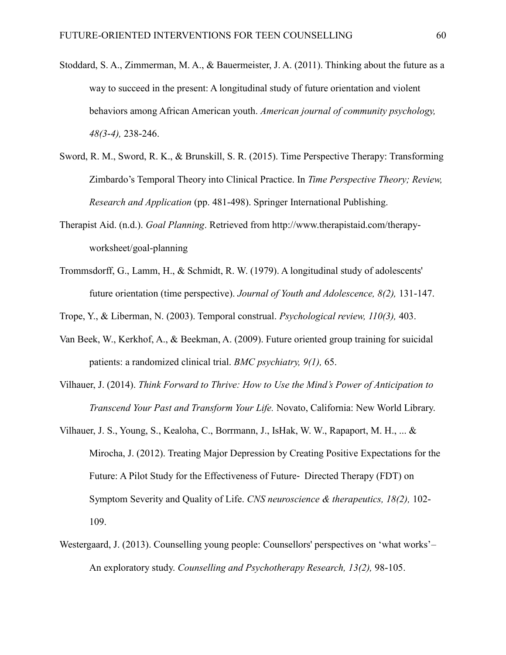- Stoddard, S. A., Zimmerman, M. A., & Bauermeister, J. A. (2011). Thinking about the future as a way to succeed in the present: A longitudinal study of future orientation and violent behaviors among African American youth. *American journal of community psychology, 48(3-4),* 238-246.
- Sword, R. M., Sword, R. K., & Brunskill, S. R. (2015). Time Perspective Therapy: Transforming Zimbardo's Temporal Theory into Clinical Practice. In *Time Perspective Theory; Review, Research and Application* (pp. 481-498). Springer International Publishing.
- Therapist Aid. (n.d.). *Goal Planning*. Retrieved from http://www.therapistaid.com/therapyworksheet/goal-planning
- Trommsdorff, G., Lamm, H., & Schmidt, R. W. (1979). A longitudinal study of adolescents' future orientation (time perspective). *Journal of Youth and Adolescence, 8(2),* 131-147.
- Trope, Y., & Liberman, N. (2003). Temporal construal. *Psychological review, 110(3),* 403.
- Van Beek, W., Kerkhof, A., & Beekman, A. (2009). Future oriented group training for suicidal patients: a randomized clinical trial. *BMC psychiatry, 9(1),* 65.
- Vilhauer, J. (2014). *Think Forward to Thrive: How to Use the Mind's Power of Anticipation to Transcend Your Past and Transform Your Life.* Novato, California: New World Library.
- Vilhauer, J. S., Young, S., Kealoha, C., Borrmann, J., IsHak, W. W., Rapaport, M. H., ... & Mirocha, J. (2012). Treating Major Depression by Creating Positive Expectations for the Future: A Pilot Study for the Effectiveness of Future‐ Directed Therapy (FDT) on Symptom Severity and Quality of Life. *CNS neuroscience & therapeutics, 18(2),* 102- 109.
- Westergaard, J. (2013). Counselling young people: Counsellors' perspectives on 'what works'– An exploratory study. *Counselling and Psychotherapy Research, 13(2),* 98-105.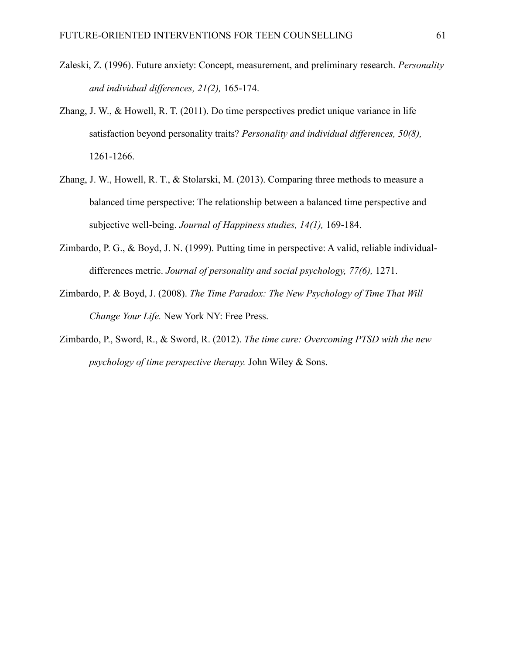- Zaleski, Z. (1996). Future anxiety: Concept, measurement, and preliminary research. *Personality and individual differences, 21(2),* 165-174.
- Zhang, J. W., & Howell, R. T. (2011). Do time perspectives predict unique variance in life satisfaction beyond personality traits? *Personality and individual differences, 50(8),* 1261-1266.
- Zhang, J. W., Howell, R. T., & Stolarski, M. (2013). Comparing three methods to measure a balanced time perspective: The relationship between a balanced time perspective and subjective well-being. *Journal of Happiness studies, 14(1),* 169-184.
- Zimbardo, P. G., & Boyd, J. N. (1999). Putting time in perspective: A valid, reliable individualdifferences metric. *Journal of personality and social psychology, 77(6),* 1271.
- Zimbardo, P. & Boyd, J. (2008). *The Time Paradox: The New Psychology of Time That Will Change Your Life.* New York NY: Free Press.
- Zimbardo, P., Sword, R., & Sword, R. (2012). *The time cure: Overcoming PTSD with the new psychology of time perspective therapy.* John Wiley & Sons.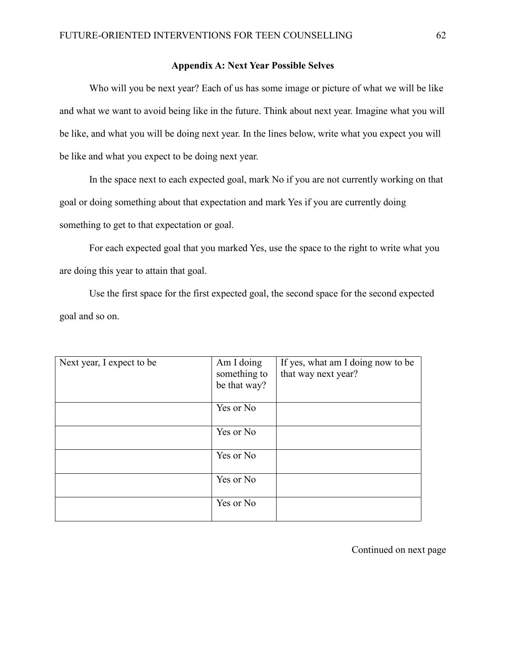# **Appendix A: Next Year Possible Selves**

Who will you be next year? Each of us has some image or picture of what we will be like and what we want to avoid being like in the future. Think about next year. Imagine what you will be like, and what you will be doing next year. In the lines below, write what you expect you will be like and what you expect to be doing next year.

In the space next to each expected goal, mark No if you are not currently working on that goal or doing something about that expectation and mark Yes if you are currently doing something to get to that expectation or goal.

For each expected goal that you marked Yes, use the space to the right to write what you are doing this year to attain that goal.

Use the first space for the first expected goal, the second space for the second expected goal and so on.

| Next year, I expect to be | Am I doing<br>something to | If yes, what am I doing now to be<br>that way next year? |
|---------------------------|----------------------------|----------------------------------------------------------|
|                           | be that way?               |                                                          |
|                           | Yes or No                  |                                                          |
|                           | Yes or No                  |                                                          |
|                           | Yes or No                  |                                                          |
|                           | Yes or No                  |                                                          |
|                           | Yes or No                  |                                                          |

Continued on next page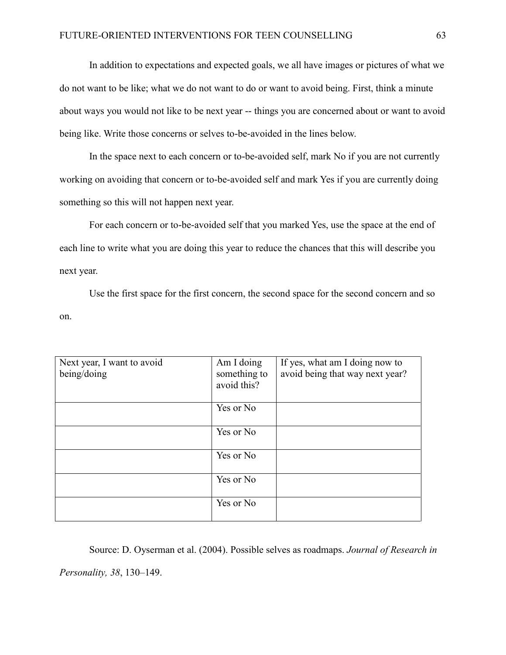In addition to expectations and expected goals, we all have images or pictures of what we do not want to be like; what we do not want to do or want to avoid being. First, think a minute about ways you would not like to be next year -- things you are concerned about or want to avoid being like. Write those concerns or selves to-be-avoided in the lines below.

In the space next to each concern or to-be-avoided self, mark No if you are not currently working on avoiding that concern or to-be-avoided self and mark Yes if you are currently doing something so this will not happen next year.

For each concern or to-be-avoided self that you marked Yes, use the space at the end of each line to write what you are doing this year to reduce the chances that this will describe you next year.

Use the first space for the first concern, the second space for the second concern and so on.

| Next year, I want to avoid<br>being/doing | Am I doing<br>something to<br>avoid this? | If yes, what am I doing now to<br>avoid being that way next year? |
|-------------------------------------------|-------------------------------------------|-------------------------------------------------------------------|
|                                           | Yes or No                                 |                                                                   |
|                                           | Yes or No                                 |                                                                   |
|                                           | Yes or No                                 |                                                                   |
|                                           | Yes or No                                 |                                                                   |
|                                           | Yes or No                                 |                                                                   |

Source: D. Oyserman et al. (2004). Possible selves as roadmaps. *Journal of Research in Personality, 38*, 130–149.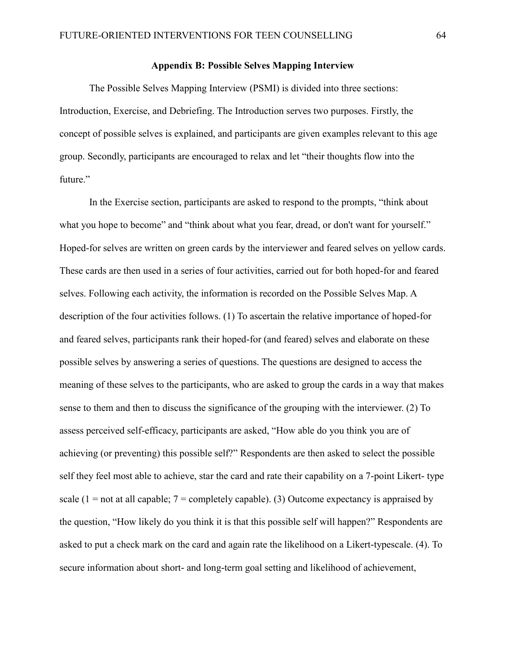# **Appendix B: Possible Selves Mapping Interview**

The Possible Selves Mapping Interview (PSMI) is divided into three sections: Introduction, Exercise, and Debriefing. The Introduction serves two purposes. Firstly, the concept of possible selves is explained, and participants are given examples relevant to this age group. Secondly, participants are encouraged to relax and let "their thoughts flow into the future."

In the Exercise section, participants are asked to respond to the prompts, "think about what you hope to become" and "think about what you fear, dread, or don't want for yourself." Hoped-for selves are written on green cards by the interviewer and feared selves on yellow cards. These cards are then used in a series of four activities, carried out for both hoped-for and feared selves. Following each activity, the information is recorded on the Possible Selves Map. A description of the four activities follows. (1) To ascertain the relative importance of hoped-for and feared selves, participants rank their hoped-for (and feared) selves and elaborate on these possible selves by answering a series of questions. The questions are designed to access the meaning of these selves to the participants, who are asked to group the cards in a way that makes sense to them and then to discuss the significance of the grouping with the interviewer. (2) To assess perceived self-efficacy, participants are asked, "How able do you think you are of achieving (or preventing) this possible self?" Respondents are then asked to select the possible self they feel most able to achieve, star the card and rate their capability on a 7-point Likert- type scale (1 = not at all capable;  $7 =$  completely capable). (3) Outcome expectancy is appraised by the question, "How likely do you think it is that this possible self will happen?" Respondents are asked to put a check mark on the card and again rate the likelihood on a Likert-typescale. (4). To secure information about short- and long-term goal setting and likelihood of achievement,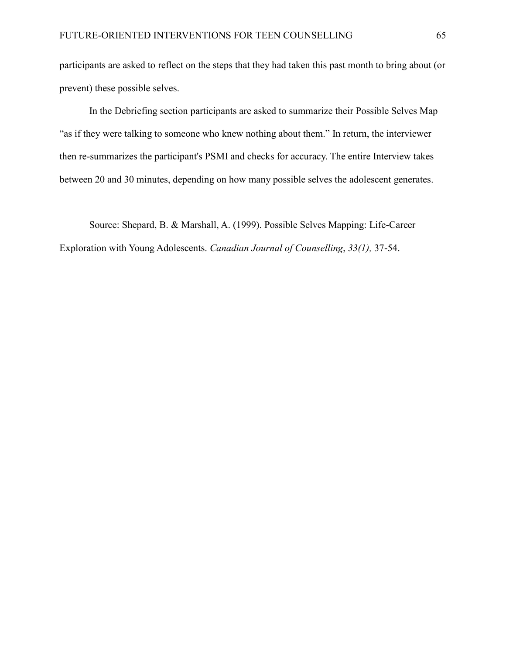participants are asked to reflect on the steps that they had taken this past month to bring about (or prevent) these possible selves.

In the Debriefing section participants are asked to summarize their Possible Selves Map "as if they were talking to someone who knew nothing about them." In return, the interviewer then re-summarizes the participant's PSMI and checks for accuracy. The entire Interview takes between 20 and 30 minutes, depending on how many possible selves the adolescent generates.

Source: Shepard, B. & Marshall, A. (1999). Possible Selves Mapping: Life-Career Exploration with Young Adolescents. *Canadian Journal of Counselling*, *33(1),* 37-54.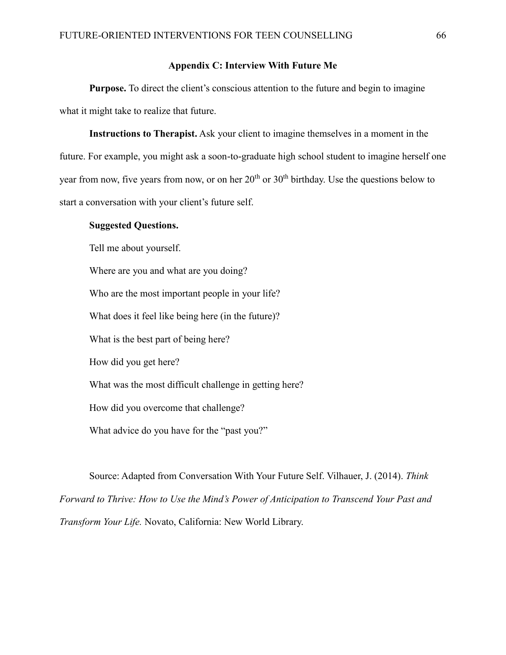### **Appendix C: Interview With Future Me**

**Purpose.** To direct the client's conscious attention to the future and begin to imagine what it might take to realize that future.

**Instructions to Therapist.** Ask your client to imagine themselves in a moment in the future. For example, you might ask a soon-to-graduate high school student to imagine herself one year from now, five years from now, or on her  $20<sup>th</sup>$  or  $30<sup>th</sup>$  birthday. Use the questions below to start a conversation with your client's future self.

#### **Suggested Questions.**

Tell me about yourself.

Where are you and what are you doing?

Who are the most important people in your life?

What does it feel like being here (in the future)?

What is the best part of being here?

How did you get here?

What was the most difficult challenge in getting here?

How did you overcome that challenge?

What advice do you have for the "past you?"

Source: Adapted from Conversation With Your Future Self. Vilhauer, J. (2014). *Think Forward to Thrive: How to Use the Mind's Power of Anticipation to Transcend Your Past and Transform Your Life.* Novato, California: New World Library.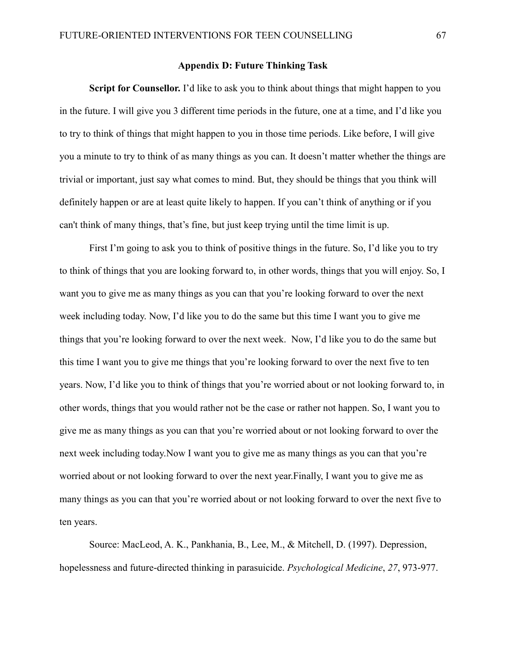### **Appendix D: Future Thinking Task**

**Script for Counsellor.** I'd like to ask you to think about things that might happen to you in the future. I will give you 3 different time periods in the future, one at a time, and I'd like you to try to think of things that might happen to you in those time periods. Like before, I will give you a minute to try to think of as many things as you can. It doesn't matter whether the things are trivial or important, just say what comes to mind. But, they should be things that you think will definitely happen or are at least quite likely to happen. If you can't think of anything or if you can't think of many things, that's fine, but just keep trying until the time limit is up.

First I'm going to ask you to think of positive things in the future. So, I'd like you to try to think of things that you are looking forward to, in other words, things that you will enjoy. So, I want you to give me as many things as you can that you're looking forward to over the next week including today. Now, I'd like you to do the same but this time I want you to give me things that you're looking forward to over the next week. Now, I'd like you to do the same but this time I want you to give me things that you're looking forward to over the next five to ten years. Now, I'd like you to think of things that you're worried about or not looking forward to, in other words, things that you would rather not be the case or rather not happen. So, I want you to give me as many things as you can that you're worried about or not looking forward to over the next week including today.Now I want you to give me as many things as you can that you're worried about or not looking forward to over the next year.Finally, I want you to give me as many things as you can that you're worried about or not looking forward to over the next five to ten years.

Source: MacLeod, A. K., Pankhania, B., Lee, M., & Mitchell, D. (1997). Depression, hopelessness and future-directed thinking in parasuicide. *Psychological Medicine*, *27*, 973-977.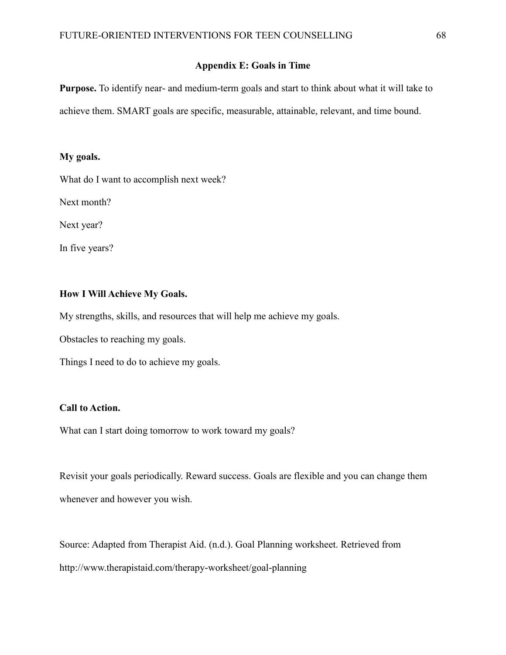# **Appendix E: Goals in Time**

**Purpose.** To identify near- and medium-term goals and start to think about what it will take to achieve them. SMART goals are specific, measurable, attainable, relevant, and time bound.

### **My goals.**

What do I want to accomplish next week?

Next month?

Next year?

In five years?

# **How I Will Achieve My Goals.**

My strengths, skills, and resources that will help me achieve my goals.

Obstacles to reaching my goals.

Things I need to do to achieve my goals.

# **Call to Action.**

What can I start doing tomorrow to work toward my goals?

Revisit your goals periodically. Reward success. Goals are flexible and you can change them whenever and however you wish.

Source: Adapted from Therapist Aid. (n.d.). Goal Planning worksheet. Retrieved from http://www.therapistaid.com/therapy-worksheet/goal-planning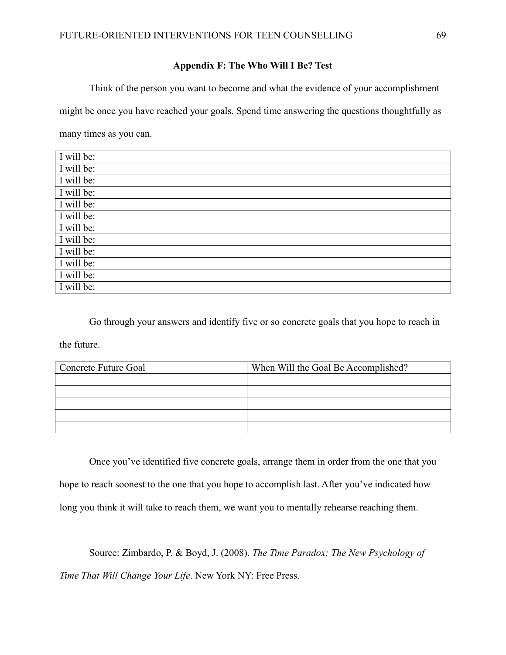# **Appendix F: The Who Will I Be? Test**

Think of the person you want to become and what the evidence of your accomplishment

might be once you have reached your goals. Spend time answering the questions thoughtfully as

many times as you can.

| I will be: |  |
|------------|--|
| I will be: |  |
| I will be: |  |
| I will be: |  |
| I will be: |  |
| I will be: |  |
| I will be: |  |
| I will be: |  |
| I will be: |  |
| I will be: |  |
| I will be: |  |
| I will be: |  |

Go through your answers and identify five or so concrete goals that you hope to reach in

the future.

| Concrete Future Goal | When Will the Goal Be Accomplished? |
|----------------------|-------------------------------------|
|                      |                                     |
|                      |                                     |
|                      |                                     |
|                      |                                     |
|                      |                                     |

Once you've identified five concrete goals, arrange them in order from the one that you hope to reach soonest to the one that you hope to accomplish last. After you've indicated how long you think it will take to reach them, we want you to mentally rehearse reaching them.

Source: Zimbardo, P. & Boyd, J. (2008). *The Time Paradox: The New Psychology of* 

*Time That Will Change Your Life*. New York NY: Free Press.